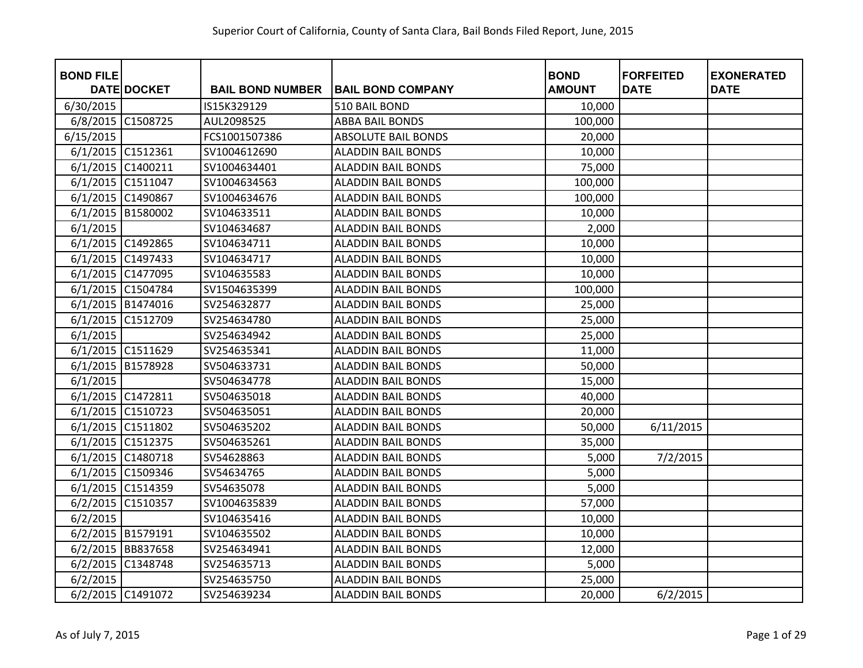| <b>BOND FILE</b>  |                    |                         |                            | <b>BOND</b>   | <b>FORFEITED</b> | <b>EXONERATED</b> |
|-------------------|--------------------|-------------------------|----------------------------|---------------|------------------|-------------------|
|                   | <b>DATE DOCKET</b> | <b>BAIL BOND NUMBER</b> | <b>BAIL BOND COMPANY</b>   | <b>AMOUNT</b> | <b>DATE</b>      | <b>DATE</b>       |
| 6/30/2015         |                    | IS15K329129             | 510 BAIL BOND              | 10,000        |                  |                   |
| 6/8/2015          | C1508725           | AUL2098525              | <b>ABBA BAIL BONDS</b>     | 100,000       |                  |                   |
| 6/15/2015         |                    | FCS1001507386           | <b>ABSOLUTE BAIL BONDS</b> | 20,000        |                  |                   |
| 6/1/2015 C1512361 |                    | SV1004612690            | <b>ALADDIN BAIL BONDS</b>  | 10,000        |                  |                   |
| 6/1/2015          | C1400211           | SV1004634401            | <b>ALADDIN BAIL BONDS</b>  | 75,000        |                  |                   |
| 6/1/2015 C1511047 |                    | SV1004634563            | <b>ALADDIN BAIL BONDS</b>  | 100,000       |                  |                   |
| 6/1/2015 C1490867 |                    | SV1004634676            | <b>ALADDIN BAIL BONDS</b>  | 100,000       |                  |                   |
| 6/1/2015          | B1580002           | SV104633511             | <b>ALADDIN BAIL BONDS</b>  | 10,000        |                  |                   |
| 6/1/2015          |                    | SV104634687             | <b>ALADDIN BAIL BONDS</b>  | 2,000         |                  |                   |
| 6/1/2015 C1492865 |                    | SV104634711             | <b>ALADDIN BAIL BONDS</b>  | 10,000        |                  |                   |
| 6/1/2015 C1497433 |                    | SV104634717             | <b>ALADDIN BAIL BONDS</b>  | 10,000        |                  |                   |
| 6/1/2015 C1477095 |                    | SV104635583             | <b>ALADDIN BAIL BONDS</b>  | 10,000        |                  |                   |
| 6/1/2015 C1504784 |                    | SV1504635399            | <b>ALADDIN BAIL BONDS</b>  | 100,000       |                  |                   |
| 6/1/2015          | B1474016           | SV254632877             | <b>ALADDIN BAIL BONDS</b>  | 25,000        |                  |                   |
| 6/1/2015          | C1512709           | SV254634780             | <b>ALADDIN BAIL BONDS</b>  | 25,000        |                  |                   |
| 6/1/2015          |                    | SV254634942             | <b>ALADDIN BAIL BONDS</b>  | 25,000        |                  |                   |
| 6/1/2015 C1511629 |                    | SV254635341             | <b>ALADDIN BAIL BONDS</b>  | 11,000        |                  |                   |
| 6/1/2015          | B1578928           | SV504633731             | <b>ALADDIN BAIL BONDS</b>  | 50,000        |                  |                   |
| 6/1/2015          |                    | SV504634778             | <b>ALADDIN BAIL BONDS</b>  | 15,000        |                  |                   |
| 6/1/2015 C1472811 |                    | SV504635018             | <b>ALADDIN BAIL BONDS</b>  | 40,000        |                  |                   |
| 6/1/2015 C1510723 |                    | SV504635051             | <b>ALADDIN BAIL BONDS</b>  | 20,000        |                  |                   |
| 6/1/2015 C1511802 |                    | SV504635202             | <b>ALADDIN BAIL BONDS</b>  | 50,000        | 6/11/2015        |                   |
| 6/1/2015 C1512375 |                    | SV504635261             | <b>ALADDIN BAIL BONDS</b>  | 35,000        |                  |                   |
| 6/1/2015 C1480718 |                    | SV54628863              | <b>ALADDIN BAIL BONDS</b>  | 5,000         | 7/2/2015         |                   |
| 6/1/2015 C1509346 |                    | SV54634765              | <b>ALADDIN BAIL BONDS</b>  | 5,000         |                  |                   |
| 6/1/2015 C1514359 |                    | SV54635078              | <b>ALADDIN BAIL BONDS</b>  | 5,000         |                  |                   |
| 6/2/2015          | C1510357           | SV1004635839            | <b>ALADDIN BAIL BONDS</b>  | 57,000        |                  |                   |
| 6/2/2015          |                    | SV104635416             | <b>ALADDIN BAIL BONDS</b>  | 10,000        |                  |                   |
| 6/2/2015 B1579191 |                    | SV104635502             | <b>ALADDIN BAIL BONDS</b>  | 10,000        |                  |                   |
|                   | 6/2/2015 BB837658  | SV254634941             | <b>ALADDIN BAIL BONDS</b>  | 12,000        |                  |                   |
|                   | 6/2/2015 C1348748  | SV254635713             | <b>ALADDIN BAIL BONDS</b>  | 5,000         |                  |                   |
| 6/2/2015          |                    | SV254635750             | <b>ALADDIN BAIL BONDS</b>  | 25,000        |                  |                   |
| 6/2/2015 C1491072 |                    | SV254639234             | <b>ALADDIN BAIL BONDS</b>  | 20,000        | 6/2/2015         |                   |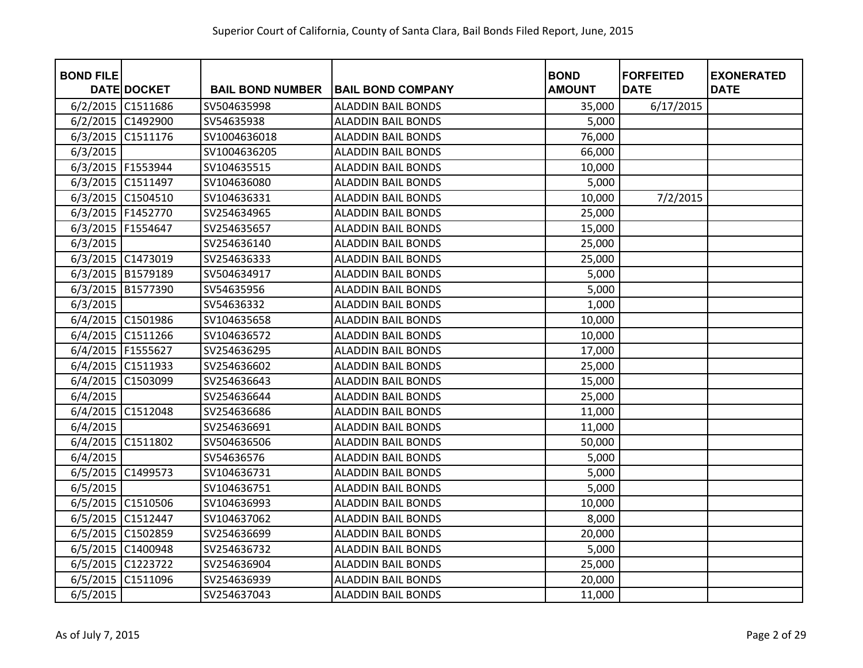| <b>BOND FILE</b>    |                    |                         |                           | <b>BOND</b>   | <b>FORFEITED</b> | <b>EXONERATED</b> |
|---------------------|--------------------|-------------------------|---------------------------|---------------|------------------|-------------------|
|                     | <b>DATE DOCKET</b> | <b>BAIL BOND NUMBER</b> | <b>BAIL BOND COMPANY</b>  | <b>AMOUNT</b> | <b>DATE</b>      | <b>DATE</b>       |
|                     | 6/2/2015 C1511686  | SV504635998             | <b>ALADDIN BAIL BONDS</b> | 35,000        | 6/17/2015        |                   |
| 6/2/2015 C1492900   |                    | SV54635938              | <b>ALADDIN BAIL BONDS</b> | 5,000         |                  |                   |
| 6/3/2015 C1511176   |                    | SV1004636018            | <b>ALADDIN BAIL BONDS</b> | 76,000        |                  |                   |
| 6/3/2015            |                    | SV1004636205            | <b>ALADDIN BAIL BONDS</b> | 66,000        |                  |                   |
| 6/3/2015 F1553944   |                    | SV104635515             | <b>ALADDIN BAIL BONDS</b> | 10,000        |                  |                   |
| 6/3/2015 C1511497   |                    | SV104636080             | <b>ALADDIN BAIL BONDS</b> | 5,000         |                  |                   |
|                     | 6/3/2015 C1504510  | SV104636331             | <b>ALADDIN BAIL BONDS</b> | 10,000        | 7/2/2015         |                   |
| 6/3/2015   F1452770 |                    | SV254634965             | <b>ALADDIN BAIL BONDS</b> | 25,000        |                  |                   |
| 6/3/2015 F1554647   |                    | SV254635657             | <b>ALADDIN BAIL BONDS</b> | 15,000        |                  |                   |
| 6/3/2015            |                    | SV254636140             | <b>ALADDIN BAIL BONDS</b> | 25,000        |                  |                   |
| 6/3/2015 C1473019   |                    | SV254636333             | <b>ALADDIN BAIL BONDS</b> | 25,000        |                  |                   |
|                     | 6/3/2015 B1579189  | SV504634917             | <b>ALADDIN BAIL BONDS</b> | 5,000         |                  |                   |
|                     | 6/3/2015 B1577390  | SV54635956              | <b>ALADDIN BAIL BONDS</b> | 5,000         |                  |                   |
| 6/3/2015            |                    | SV54636332              | <b>ALADDIN BAIL BONDS</b> | 1,000         |                  |                   |
|                     | 6/4/2015 C1501986  | SV104635658             | <b>ALADDIN BAIL BONDS</b> | 10,000        |                  |                   |
|                     | 6/4/2015 C1511266  | SV104636572             | <b>ALADDIN BAIL BONDS</b> | 10,000        |                  |                   |
| 6/4/2015   F1555627 |                    | SV254636295             | <b>ALADDIN BAIL BONDS</b> | 17,000        |                  |                   |
| 6/4/2015 C1511933   |                    | SV254636602             | <b>ALADDIN BAIL BONDS</b> | 25,000        |                  |                   |
| 6/4/2015            | C1503099           | SV254636643             | <b>ALADDIN BAIL BONDS</b> | 15,000        |                  |                   |
| 6/4/2015            |                    | SV254636644             | <b>ALADDIN BAIL BONDS</b> | 25,000        |                  |                   |
|                     | 6/4/2015 C1512048  | SV254636686             | <b>ALADDIN BAIL BONDS</b> | 11,000        |                  |                   |
| 6/4/2015            |                    | SV254636691             | <b>ALADDIN BAIL BONDS</b> | 11,000        |                  |                   |
| 6/4/2015 C1511802   |                    | SV504636506             | <b>ALADDIN BAIL BONDS</b> | 50,000        |                  |                   |
| 6/4/2015            |                    | SV54636576              | <b>ALADDIN BAIL BONDS</b> | 5,000         |                  |                   |
| 6/5/2015 C1499573   |                    | SV104636731             | <b>ALADDIN BAIL BONDS</b> | 5,000         |                  |                   |
| 6/5/2015            |                    | SV104636751             | <b>ALADDIN BAIL BONDS</b> | 5,000         |                  |                   |
|                     | 6/5/2015 C1510506  | SV104636993             | <b>ALADDIN BAIL BONDS</b> | 10,000        |                  |                   |
| 6/5/2015 C1512447   |                    | SV104637062             | <b>ALADDIN BAIL BONDS</b> | 8,000         |                  |                   |
| 6/5/2015            | C1502859           | SV254636699             | <b>ALADDIN BAIL BONDS</b> | 20,000        |                  |                   |
|                     | 6/5/2015 C1400948  | SV254636732             | <b>ALADDIN BAIL BONDS</b> | 5,000         |                  |                   |
|                     | 6/5/2015 C1223722  | SV254636904             | <b>ALADDIN BAIL BONDS</b> | 25,000        |                  |                   |
| 6/5/2015            | C1511096           | SV254636939             | <b>ALADDIN BAIL BONDS</b> | 20,000        |                  |                   |
| 6/5/2015            |                    | SV254637043             | <b>ALADDIN BAIL BONDS</b> | 11,000        |                  |                   |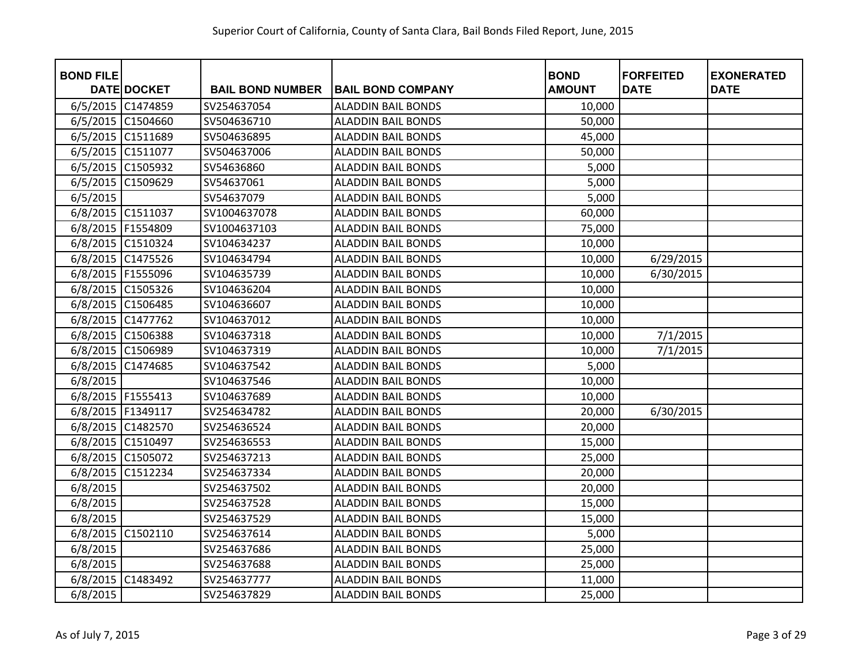| <b>BOND FILE</b>  | <b>DATE DOCKET</b> | <b>BAIL BOND NUMBER</b> | <b>BAIL BOND COMPANY</b>  | <b>BOND</b><br><b>AMOUNT</b> | <b>FORFEITED</b><br><b>DATE</b> | <b>EXONERATED</b><br><b>DATE</b> |
|-------------------|--------------------|-------------------------|---------------------------|------------------------------|---------------------------------|----------------------------------|
| 6/5/2015 C1474859 |                    | SV254637054             | <b>ALADDIN BAIL BONDS</b> | 10,000                       |                                 |                                  |
| 6/5/2015 C1504660 |                    | SV504636710             | <b>ALADDIN BAIL BONDS</b> | 50,000                       |                                 |                                  |
| 6/5/2015          | C1511689           | SV504636895             | <b>ALADDIN BAIL BONDS</b> | 45,000                       |                                 |                                  |
| 6/5/2015 C1511077 |                    | SV504637006             | <b>ALADDIN BAIL BONDS</b> | 50,000                       |                                 |                                  |
| 6/5/2015          | C1505932           | SV54636860              | <b>ALADDIN BAIL BONDS</b> | 5,000                        |                                 |                                  |
| 6/5/2015          | C1509629           | SV54637061              | <b>ALADDIN BAIL BONDS</b> | 5,000                        |                                 |                                  |
| 6/5/2015          |                    | SV54637079              | <b>ALADDIN BAIL BONDS</b> | 5,000                        |                                 |                                  |
| 6/8/2015 C1511037 |                    | SV1004637078            | <b>ALADDIN BAIL BONDS</b> | 60,000                       |                                 |                                  |
| 6/8/2015 F1554809 |                    | SV1004637103            | <b>ALADDIN BAIL BONDS</b> | 75,000                       |                                 |                                  |
| 6/8/2015 C1510324 |                    | SV104634237             | <b>ALADDIN BAIL BONDS</b> | 10,000                       |                                 |                                  |
|                   | 6/8/2015 C1475526  | SV104634794             | <b>ALADDIN BAIL BONDS</b> | 10,000                       | 6/29/2015                       |                                  |
| 6/8/2015 F1555096 |                    | SV104635739             | <b>ALADDIN BAIL BONDS</b> | 10,000                       | 6/30/2015                       |                                  |
|                   | 6/8/2015 C1505326  | SV104636204             | <b>ALADDIN BAIL BONDS</b> | 10,000                       |                                 |                                  |
| 6/8/2015          | C1506485           | SV104636607             | <b>ALADDIN BAIL BONDS</b> | 10,000                       |                                 |                                  |
| 6/8/2015 C1477762 |                    | SV104637012             | <b>ALADDIN BAIL BONDS</b> | 10,000                       |                                 |                                  |
| 6/8/2015 C1506388 |                    | SV104637318             | <b>ALADDIN BAIL BONDS</b> | 10,000                       | 7/1/2015                        |                                  |
| 6/8/2015 C1506989 |                    | SV104637319             | <b>ALADDIN BAIL BONDS</b> | 10,000                       | 7/1/2015                        |                                  |
| 6/8/2015          | C1474685           | SV104637542             | <b>ALADDIN BAIL BONDS</b> | 5,000                        |                                 |                                  |
| 6/8/2015          |                    | SV104637546             | <b>ALADDIN BAIL BONDS</b> | 10,000                       |                                 |                                  |
| 6/8/2015 F1555413 |                    | SV104637689             | <b>ALADDIN BAIL BONDS</b> | 10,000                       |                                 |                                  |
| 6/8/2015 F1349117 |                    | SV254634782             | <b>ALADDIN BAIL BONDS</b> | 20,000                       | 6/30/2015                       |                                  |
|                   | 6/8/2015 C1482570  | SV254636524             | <b>ALADDIN BAIL BONDS</b> | 20,000                       |                                 |                                  |
| 6/8/2015 C1510497 |                    | SV254636553             | <b>ALADDIN BAIL BONDS</b> | 15,000                       |                                 |                                  |
|                   | 6/8/2015 C1505072  | SV254637213             | <b>ALADDIN BAIL BONDS</b> | 25,000                       |                                 |                                  |
| 6/8/2015 C1512234 |                    | SV254637334             | <b>ALADDIN BAIL BONDS</b> | 20,000                       |                                 |                                  |
| 6/8/2015          |                    | SV254637502             | <b>ALADDIN BAIL BONDS</b> | 20,000                       |                                 |                                  |
| 6/8/2015          |                    | SV254637528             | <b>ALADDIN BAIL BONDS</b> | 15,000                       |                                 |                                  |
| 6/8/2015          |                    | SV254637529             | <b>ALADDIN BAIL BONDS</b> | 15,000                       |                                 |                                  |
| 6/8/2015          | C1502110           | SV254637614             | <b>ALADDIN BAIL BONDS</b> | 5,000                        |                                 |                                  |
| 6/8/2015          |                    | SV254637686             | <b>ALADDIN BAIL BONDS</b> | 25,000                       |                                 |                                  |
| 6/8/2015          |                    | SV254637688             | <b>ALADDIN BAIL BONDS</b> | 25,000                       |                                 |                                  |
| 6/8/2015 C1483492 |                    | SV254637777             | <b>ALADDIN BAIL BONDS</b> | 11,000                       |                                 |                                  |
| 6/8/2015          |                    | SV254637829             | <b>ALADDIN BAIL BONDS</b> | 25,000                       |                                 |                                  |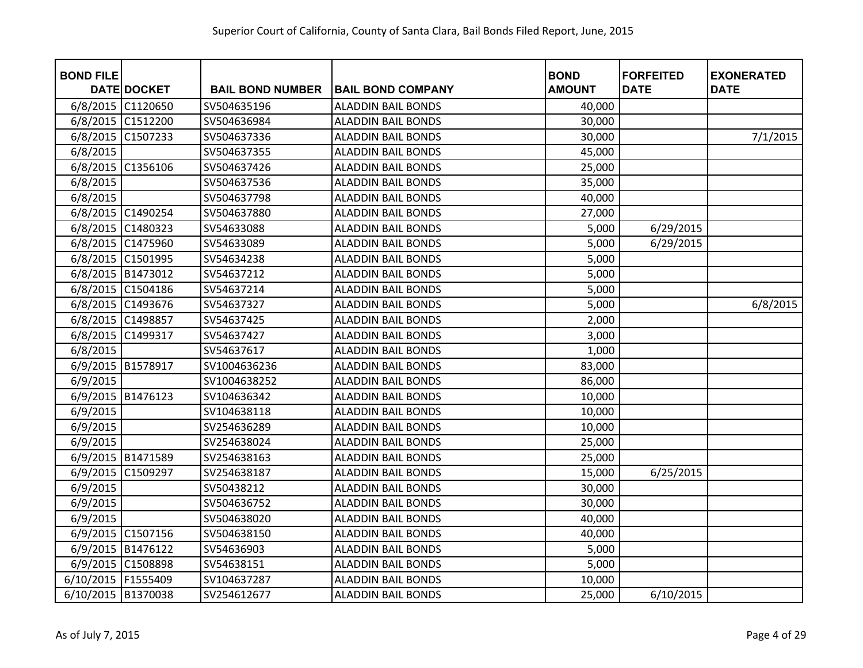| <b>BOND FILE</b>   | <b>DATE DOCKET</b> | <b>BAIL BOND NUMBER</b> | <b>BAIL BOND COMPANY</b>  | <b>BOND</b><br><b>AMOUNT</b> | <b>FORFEITED</b><br><b>DATE</b> | <b>EXONERATED</b><br><b>DATE</b> |
|--------------------|--------------------|-------------------------|---------------------------|------------------------------|---------------------------------|----------------------------------|
| 6/8/2015 C1120650  |                    | SV504635196             | <b>ALADDIN BAIL BONDS</b> | 40,000                       |                                 |                                  |
| 6/8/2015           | C1512200           | SV504636984             | <b>ALADDIN BAIL BONDS</b> | 30,000                       |                                 |                                  |
| 6/8/2015           | C1507233           | SV504637336             | <b>ALADDIN BAIL BONDS</b> | 30,000                       |                                 | 7/1/2015                         |
| 6/8/2015           |                    | SV504637355             | <b>ALADDIN BAIL BONDS</b> | 45,000                       |                                 |                                  |
| 6/8/2015           | C1356106           | SV504637426             | <b>ALADDIN BAIL BONDS</b> | 25,000                       |                                 |                                  |
| 6/8/2015           |                    | SV504637536             | <b>ALADDIN BAIL BONDS</b> | 35,000                       |                                 |                                  |
| 6/8/2015           |                    | SV504637798             | <b>ALADDIN BAIL BONDS</b> | 40,000                       |                                 |                                  |
|                    | 6/8/2015 C1490254  | SV504637880             | <b>ALADDIN BAIL BONDS</b> | 27,000                       |                                 |                                  |
| 6/8/2015 C1480323  |                    | SV54633088              | <b>ALADDIN BAIL BONDS</b> | 5,000                        | 6/29/2015                       |                                  |
|                    | 6/8/2015 C1475960  | SV54633089              | <b>ALADDIN BAIL BONDS</b> | 5,000                        | 6/29/2015                       |                                  |
| 6/8/2015           | C1501995           | SV54634238              | <b>ALADDIN BAIL BONDS</b> | 5,000                        |                                 |                                  |
| 6/8/2015 B1473012  |                    | SV54637212              | <b>ALADDIN BAIL BONDS</b> | 5,000                        |                                 |                                  |
| 6/8/2015 C1504186  |                    | SV54637214              | <b>ALADDIN BAIL BONDS</b> | 5,000                        |                                 |                                  |
| 6/8/2015           | C1493676           | SV54637327              | <b>ALADDIN BAIL BONDS</b> | 5,000                        |                                 | 6/8/2015                         |
| 6/8/2015           | C1498857           | SV54637425              | <b>ALADDIN BAIL BONDS</b> | 2,000                        |                                 |                                  |
| 6/8/2015           | C1499317           | SV54637427              | <b>ALADDIN BAIL BONDS</b> | 3,000                        |                                 |                                  |
| 6/8/2015           |                    | SV54637617              | <b>ALADDIN BAIL BONDS</b> | 1,000                        |                                 |                                  |
| 6/9/2015           | B1578917           | SV1004636236            | <b>ALADDIN BAIL BONDS</b> | 83,000                       |                                 |                                  |
| 6/9/2015           |                    | SV1004638252            | <b>ALADDIN BAIL BONDS</b> | 86,000                       |                                 |                                  |
| 6/9/2015           | B1476123           | SV104636342             | <b>ALADDIN BAIL BONDS</b> | 10,000                       |                                 |                                  |
| 6/9/2015           |                    | SV104638118             | <b>ALADDIN BAIL BONDS</b> | 10,000                       |                                 |                                  |
| 6/9/2015           |                    | SV254636289             | <b>ALADDIN BAIL BONDS</b> | 10,000                       |                                 |                                  |
| 6/9/2015           |                    | SV254638024             | <b>ALADDIN BAIL BONDS</b> | 25,000                       |                                 |                                  |
| 6/9/2015 B1471589  |                    | SV254638163             | <b>ALADDIN BAIL BONDS</b> | 25,000                       |                                 |                                  |
| 6/9/2015           | C1509297           | SV254638187             | <b>ALADDIN BAIL BONDS</b> | 15,000                       | 6/25/2015                       |                                  |
| 6/9/2015           |                    | SV50438212              | <b>ALADDIN BAIL BONDS</b> | 30,000                       |                                 |                                  |
| 6/9/2015           |                    | SV504636752             | <b>ALADDIN BAIL BONDS</b> | 30,000                       |                                 |                                  |
| 6/9/2015           |                    | SV504638020             | <b>ALADDIN BAIL BONDS</b> | 40,000                       |                                 |                                  |
| 6/9/2015 C1507156  |                    | SV504638150             | <b>ALADDIN BAIL BONDS</b> | 40,000                       |                                 |                                  |
| 6/9/2015 B1476122  |                    | SV54636903              | <b>ALADDIN BAIL BONDS</b> | 5,000                        |                                 |                                  |
| 6/9/2015           | C1508898           | SV54638151              | <b>ALADDIN BAIL BONDS</b> | 5,000                        |                                 |                                  |
| 6/10/2015 F1555409 |                    | SV104637287             | <b>ALADDIN BAIL BONDS</b> | 10,000                       |                                 |                                  |
| 6/10/2015 B1370038 |                    | SV254612677             | <b>ALADDIN BAIL BONDS</b> | 25,000                       | 6/10/2015                       |                                  |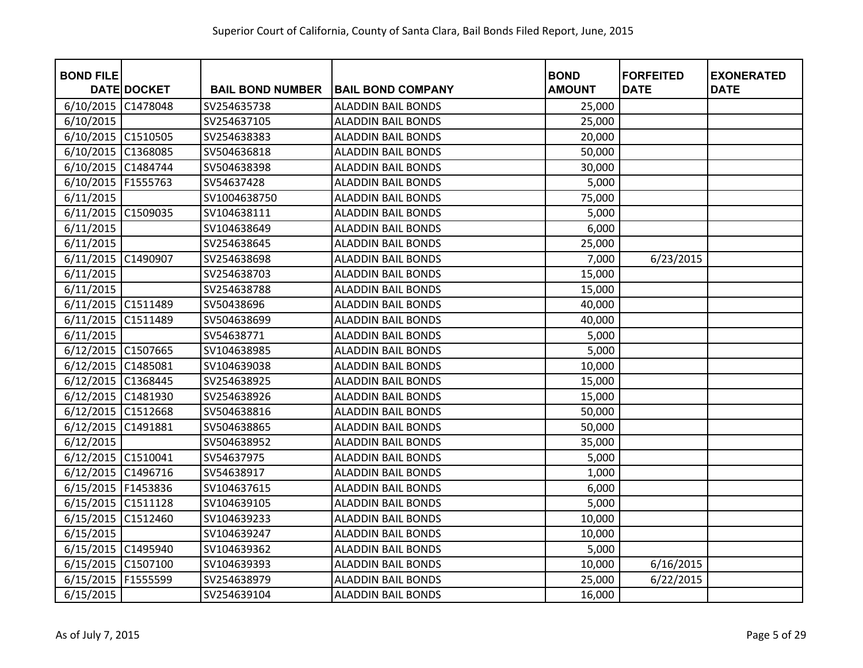| <b>BOND FILE</b>   |                    |                         |                           | <b>BOND</b>   | <b>FORFEITED</b> | <b>EXONERATED</b> |
|--------------------|--------------------|-------------------------|---------------------------|---------------|------------------|-------------------|
|                    | <b>DATE DOCKET</b> | <b>BAIL BOND NUMBER</b> | <b>BAIL BOND COMPANY</b>  | <b>AMOUNT</b> | <b>DATE</b>      | <b>DATE</b>       |
| 6/10/2015          | C1478048           | SV254635738             | <b>ALADDIN BAIL BONDS</b> | 25,000        |                  |                   |
| 6/10/2015          |                    | SV254637105             | <b>ALADDIN BAIL BONDS</b> | 25,000        |                  |                   |
| 6/10/2015          | C1510505           | SV254638383             | <b>ALADDIN BAIL BONDS</b> | 20,000        |                  |                   |
| 6/10/2015          | C1368085           | SV504636818             | <b>ALADDIN BAIL BONDS</b> | 50,000        |                  |                   |
| 6/10/2015          | C1484744           | SV504638398             | <b>ALADDIN BAIL BONDS</b> | 30,000        |                  |                   |
| 6/10/2015          | F1555763           | SV54637428              | <b>ALADDIN BAIL BONDS</b> | 5,000         |                  |                   |
| 6/11/2015          |                    | SV1004638750            | <b>ALADDIN BAIL BONDS</b> | 75,000        |                  |                   |
| 6/11/2015          | C1509035           | SV104638111             | <b>ALADDIN BAIL BONDS</b> | 5,000         |                  |                   |
| 6/11/2015          |                    | SV104638649             | <b>ALADDIN BAIL BONDS</b> | 6,000         |                  |                   |
| 6/11/2015          |                    | SV254638645             | <b>ALADDIN BAIL BONDS</b> | 25,000        |                  |                   |
| 6/11/2015          | C1490907           | SV254638698             | <b>ALADDIN BAIL BONDS</b> | 7,000         | 6/23/2015        |                   |
| 6/11/2015          |                    | SV254638703             | <b>ALADDIN BAIL BONDS</b> | 15,000        |                  |                   |
| 6/11/2015          |                    | SV254638788             | <b>ALADDIN BAIL BONDS</b> | 15,000        |                  |                   |
| 6/11/2015          | C1511489           | SV50438696              | <b>ALADDIN BAIL BONDS</b> | 40,000        |                  |                   |
| 6/11/2015          | C1511489           | SV504638699             | <b>ALADDIN BAIL BONDS</b> | 40,000        |                  |                   |
| 6/11/2015          |                    | SV54638771              | <b>ALADDIN BAIL BONDS</b> | 5,000         |                  |                   |
| 6/12/2015          | C1507665           | SV104638985             | <b>ALADDIN BAIL BONDS</b> | 5,000         |                  |                   |
| 6/12/2015          | C1485081           | SV104639038             | <b>ALADDIN BAIL BONDS</b> | 10,000        |                  |                   |
| 6/12/2015          | C1368445           | SV254638925             | <b>ALADDIN BAIL BONDS</b> | 15,000        |                  |                   |
| 6/12/2015          | C1481930           | SV254638926             | <b>ALADDIN BAIL BONDS</b> | 15,000        |                  |                   |
| 6/12/2015          | C1512668           | SV504638816             | <b>ALADDIN BAIL BONDS</b> | 50,000        |                  |                   |
| 6/12/2015          | C1491881           | SV504638865             | <b>ALADDIN BAIL BONDS</b> | 50,000        |                  |                   |
| 6/12/2015          |                    | SV504638952             | <b>ALADDIN BAIL BONDS</b> | 35,000        |                  |                   |
| 6/12/2015 C1510041 |                    | SV54637975              | <b>ALADDIN BAIL BONDS</b> | 5,000         |                  |                   |
| 6/12/2015          | C1496716           | SV54638917              | <b>ALADDIN BAIL BONDS</b> | 1,000         |                  |                   |
| 6/15/2015 F1453836 |                    | SV104637615             | <b>ALADDIN BAIL BONDS</b> | 6,000         |                  |                   |
| 6/15/2015 C1511128 |                    | SV104639105             | <b>ALADDIN BAIL BONDS</b> | 5,000         |                  |                   |
| 6/15/2015          | C1512460           | SV104639233             | <b>ALADDIN BAIL BONDS</b> | 10,000        |                  |                   |
| 6/15/2015          |                    | SV104639247             | <b>ALADDIN BAIL BONDS</b> | 10,000        |                  |                   |
| 6/15/2015          | C1495940           | SV104639362             | <b>ALADDIN BAIL BONDS</b> | 5,000         |                  |                   |
| 6/15/2015          | C1507100           | SV104639393             | <b>ALADDIN BAIL BONDS</b> | 10,000        | 6/16/2015        |                   |
| 6/15/2015          | F1555599           | SV254638979             | <b>ALADDIN BAIL BONDS</b> | 25,000        | 6/22/2015        |                   |
| 6/15/2015          |                    | SV254639104             | <b>ALADDIN BAIL BONDS</b> | 16,000        |                  |                   |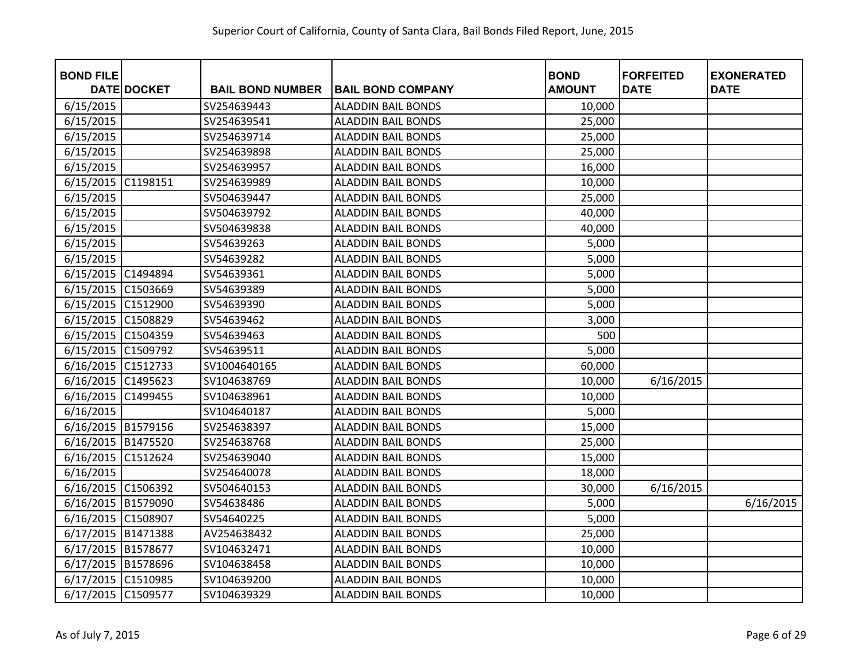| <b>BOND FILE</b>   |                    |                         |                           | <b>BOND</b>   | <b>FORFEITED</b> | <b>EXONERATED</b> |
|--------------------|--------------------|-------------------------|---------------------------|---------------|------------------|-------------------|
|                    | <b>DATE DOCKET</b> | <b>BAIL BOND NUMBER</b> | <b>BAIL BOND COMPANY</b>  | <b>AMOUNT</b> | <b>DATE</b>      | <b>DATE</b>       |
| 6/15/2015          |                    | SV254639443             | <b>ALADDIN BAIL BONDS</b> | 10,000        |                  |                   |
| 6/15/2015          |                    | SV254639541             | <b>ALADDIN BAIL BONDS</b> | 25,000        |                  |                   |
| 6/15/2015          |                    | SV254639714             | <b>ALADDIN BAIL BONDS</b> | 25,000        |                  |                   |
| 6/15/2015          |                    | SV254639898             | <b>ALADDIN BAIL BONDS</b> | 25,000        |                  |                   |
| 6/15/2015          |                    | SV254639957             | <b>ALADDIN BAIL BONDS</b> | 16,000        |                  |                   |
| 6/15/2015          | C1198151           | SV254639989             | <b>ALADDIN BAIL BONDS</b> | 10,000        |                  |                   |
| 6/15/2015          |                    | SV504639447             | <b>ALADDIN BAIL BONDS</b> | 25,000        |                  |                   |
| 6/15/2015          |                    | SV504639792             | <b>ALADDIN BAIL BONDS</b> | 40,000        |                  |                   |
| 6/15/2015          |                    | SV504639838             | <b>ALADDIN BAIL BONDS</b> | 40,000        |                  |                   |
| 6/15/2015          |                    | SV54639263              | <b>ALADDIN BAIL BONDS</b> | 5,000         |                  |                   |
| 6/15/2015          |                    | SV54639282              | <b>ALADDIN BAIL BONDS</b> | 5,000         |                  |                   |
| 6/15/2015 C1494894 |                    | SV54639361              | <b>ALADDIN BAIL BONDS</b> | 5,000         |                  |                   |
| 6/15/2015 C1503669 |                    | SV54639389              | <b>ALADDIN BAIL BONDS</b> | 5,000         |                  |                   |
| 6/15/2015          | C1512900           | SV54639390              | <b>ALADDIN BAIL BONDS</b> | 5,000         |                  |                   |
| 6/15/2015 C1508829 |                    | SV54639462              | <b>ALADDIN BAIL BONDS</b> | 3,000         |                  |                   |
| 6/15/2015 C1504359 |                    | SV54639463              | <b>ALADDIN BAIL BONDS</b> | 500           |                  |                   |
| 6/15/2015          | C1509792           | SV54639511              | <b>ALADDIN BAIL BONDS</b> | 5,000         |                  |                   |
| 6/16/2015          | C1512733           | SV1004640165            | <b>ALADDIN BAIL BONDS</b> | 60,000        |                  |                   |
| 6/16/2015          | C1495623           | SV104638769             | <b>ALADDIN BAIL BONDS</b> | 10,000        | 6/16/2015        |                   |
| 6/16/2015          | C1499455           | SV104638961             | <b>ALADDIN BAIL BONDS</b> | 10,000        |                  |                   |
| 6/16/2015          |                    | SV104640187             | <b>ALADDIN BAIL BONDS</b> | 5,000         |                  |                   |
| 6/16/2015 B1579156 |                    | SV254638397             | <b>ALADDIN BAIL BONDS</b> | 15,000        |                  |                   |
| 6/16/2015          | B1475520           | SV254638768             | <b>ALADDIN BAIL BONDS</b> | 25,000        |                  |                   |
| 6/16/2015          | C1512624           | SV254639040             | <b>ALADDIN BAIL BONDS</b> | 15,000        |                  |                   |
| 6/16/2015          |                    | SV254640078             | <b>ALADDIN BAIL BONDS</b> | 18,000        |                  |                   |
| 6/16/2015 C1506392 |                    | SV504640153             | <b>ALADDIN BAIL BONDS</b> | 30,000        | 6/16/2015        |                   |
| 6/16/2015 B1579090 |                    | SV54638486              | <b>ALADDIN BAIL BONDS</b> | 5,000         |                  | 6/16/2015         |
| 6/16/2015 C1508907 |                    | SV54640225              | <b>ALADDIN BAIL BONDS</b> | 5,000         |                  |                   |
| 6/17/2015          | B1471388           | AV254638432             | <b>ALADDIN BAIL BONDS</b> | 25,000        |                  |                   |
| 6/17/2015          | B1578677           | SV104632471             | <b>ALADDIN BAIL BONDS</b> | 10,000        |                  |                   |
| 6/17/2015          | B1578696           | SV104638458             | <b>ALADDIN BAIL BONDS</b> | 10,000        |                  |                   |
| 6/17/2015 C1510985 |                    | SV104639200             | <b>ALADDIN BAIL BONDS</b> | 10,000        |                  |                   |
| 6/17/2015 C1509577 |                    | SV104639329             | <b>ALADDIN BAIL BONDS</b> | 10,000        |                  |                   |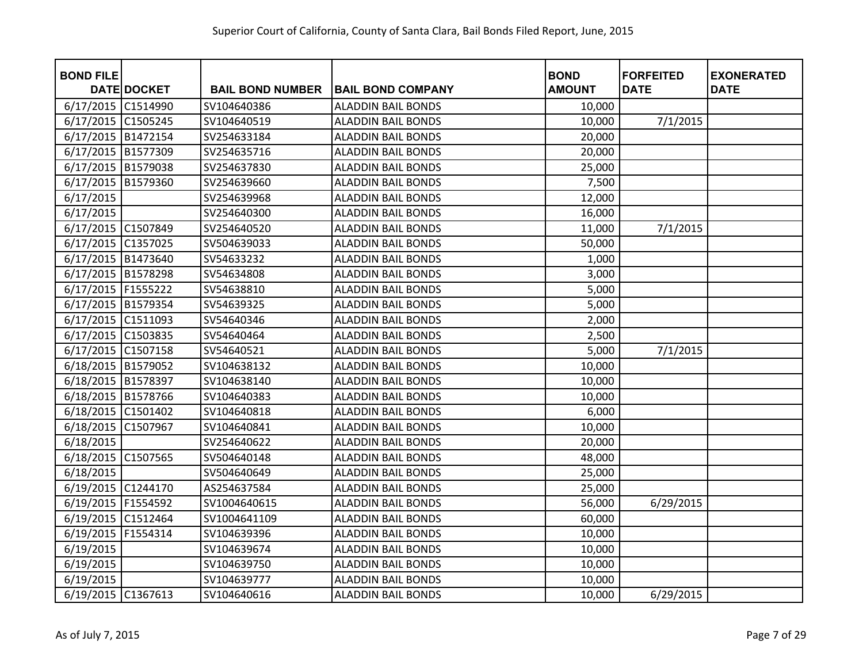| <b>BOND FILE</b>     |                    |                         |                           | <b>BOND</b>   | <b>FORFEITED</b> | <b>EXONERATED</b> |
|----------------------|--------------------|-------------------------|---------------------------|---------------|------------------|-------------------|
|                      | <b>DATE DOCKET</b> | <b>BAIL BOND NUMBER</b> | <b>BAIL BOND COMPANY</b>  | <b>AMOUNT</b> | <b>DATE</b>      | <b>DATE</b>       |
| 6/17/2015 C1514990   |                    | SV104640386             | <b>ALADDIN BAIL BONDS</b> | 10,000        |                  |                   |
| 6/17/2015            | C1505245           | SV104640519             | <b>ALADDIN BAIL BONDS</b> | 10,000        | 7/1/2015         |                   |
| 6/17/2015            | B1472154           | SV254633184             | <b>ALADDIN BAIL BONDS</b> | 20,000        |                  |                   |
| 6/17/2015 B1577309   |                    | SV254635716             | <b>ALADDIN BAIL BONDS</b> | 20,000        |                  |                   |
| 6/17/2015            | B1579038           | SV254637830             | <b>ALADDIN BAIL BONDS</b> | 25,000        |                  |                   |
| 6/17/2015            | B1579360           | SV254639660             | <b>ALADDIN BAIL BONDS</b> | 7,500         |                  |                   |
| 6/17/2015            |                    | SV254639968             | <b>ALADDIN BAIL BONDS</b> | 12,000        |                  |                   |
| 6/17/2015            |                    | SV254640300             | <b>ALADDIN BAIL BONDS</b> | 16,000        |                  |                   |
| 6/17/2015 C1507849   |                    | SV254640520             | <b>ALADDIN BAIL BONDS</b> | 11,000        | 7/1/2015         |                   |
| 6/17/2015 C1357025   |                    | SV504639033             | <b>ALADDIN BAIL BONDS</b> | 50,000        |                  |                   |
| 6/17/2015 B1473640   |                    | SV54633232              | <b>ALADDIN BAIL BONDS</b> | 1,000         |                  |                   |
| 6/17/2015 B1578298   |                    | SV54634808              | <b>ALADDIN BAIL BONDS</b> | 3,000         |                  |                   |
| 6/17/2015   F1555222 |                    | SV54638810              | <b>ALADDIN BAIL BONDS</b> | 5,000         |                  |                   |
| 6/17/2015            | B1579354           | SV54639325              | <b>ALADDIN BAIL BONDS</b> | 5,000         |                  |                   |
| 6/17/2015 C1511093   |                    | SV54640346              | <b>ALADDIN BAIL BONDS</b> | 2,000         |                  |                   |
| 6/17/2015 C1503835   |                    | SV54640464              | <b>ALADDIN BAIL BONDS</b> | 2,500         |                  |                   |
| 6/17/2015            | C1507158           | SV54640521              | <b>ALADDIN BAIL BONDS</b> | 5,000         | 7/1/2015         |                   |
| 6/18/2015            | B1579052           | SV104638132             | <b>ALADDIN BAIL BONDS</b> | 10,000        |                  |                   |
| 6/18/2015            | B1578397           | SV104638140             | <b>ALADDIN BAIL BONDS</b> | 10,000        |                  |                   |
| 6/18/2015            | B1578766           | SV104640383             | <b>ALADDIN BAIL BONDS</b> | 10,000        |                  |                   |
| 6/18/2015 C1501402   |                    | SV104640818             | <b>ALADDIN BAIL BONDS</b> | 6,000         |                  |                   |
| 6/18/2015            | C1507967           | SV104640841             | <b>ALADDIN BAIL BONDS</b> | 10,000        |                  |                   |
| 6/18/2015            |                    | SV254640622             | <b>ALADDIN BAIL BONDS</b> | 20,000        |                  |                   |
| 6/18/2015            | C1507565           | SV504640148             | <b>ALADDIN BAIL BONDS</b> | 48,000        |                  |                   |
| 6/18/2015            |                    | SV504640649             | <b>ALADDIN BAIL BONDS</b> | 25,000        |                  |                   |
| 6/19/2015 C1244170   |                    | AS254637584             | <b>ALADDIN BAIL BONDS</b> | 25,000        |                  |                   |
| 6/19/2015            | F1554592           | SV1004640615            | <b>ALADDIN BAIL BONDS</b> | 56,000        | 6/29/2015        |                   |
| 6/19/2015 C1512464   |                    | SV1004641109            | <b>ALADDIN BAIL BONDS</b> | 60,000        |                  |                   |
| 6/19/2015            | F1554314           | SV104639396             | <b>ALADDIN BAIL BONDS</b> | 10,000        |                  |                   |
| 6/19/2015            |                    | SV104639674             | <b>ALADDIN BAIL BONDS</b> | 10,000        |                  |                   |
| 6/19/2015            |                    | SV104639750             | <b>ALADDIN BAIL BONDS</b> | 10,000        |                  |                   |
| 6/19/2015            |                    | SV104639777             | <b>ALADDIN BAIL BONDS</b> | 10,000        |                  |                   |
| 6/19/2015 C1367613   |                    | SV104640616             | <b>ALADDIN BAIL BONDS</b> | 10,000        | 6/29/2015        |                   |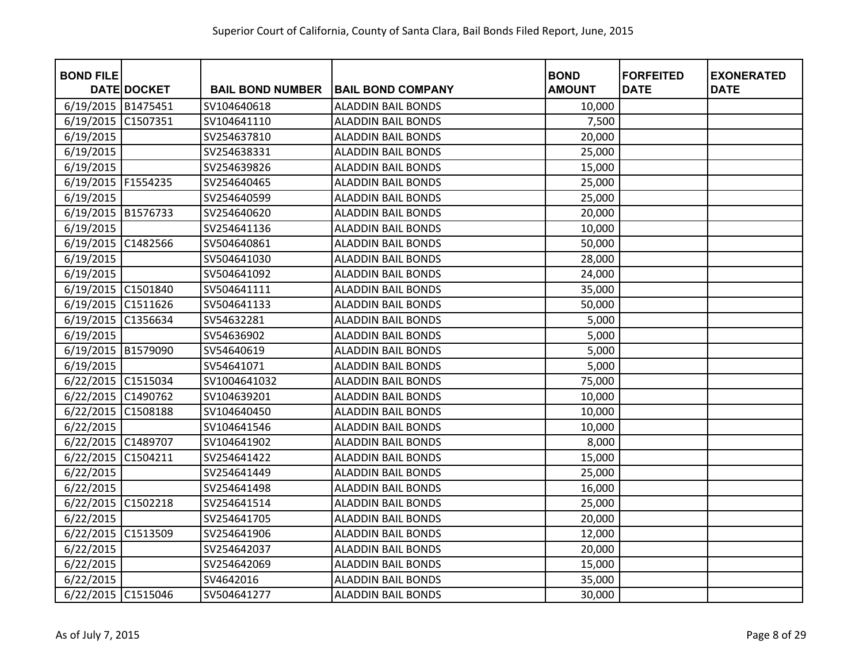| <b>BOND FILE</b>   | <b>DATE DOCKET</b> | <b>BAIL BOND NUMBER</b> | <b>BAIL BOND COMPANY</b>  | <b>BOND</b><br><b>AMOUNT</b> | <b>FORFEITED</b><br><b>DATE</b> | <b>EXONERATED</b><br><b>DATE</b> |
|--------------------|--------------------|-------------------------|---------------------------|------------------------------|---------------------------------|----------------------------------|
|                    |                    | SV104640618             | <b>ALADDIN BAIL BONDS</b> |                              |                                 |                                  |
| 6/19/2015 B1475451 |                    |                         |                           | 10,000                       |                                 |                                  |
| 6/19/2015          | C1507351           | SV104641110             | <b>ALADDIN BAIL BONDS</b> | 7,500                        |                                 |                                  |
| 6/19/2015          |                    | SV254637810             | <b>ALADDIN BAIL BONDS</b> | 20,000                       |                                 |                                  |
| 6/19/2015          |                    | SV254638331             | <b>ALADDIN BAIL BONDS</b> | 25,000                       |                                 |                                  |
| 6/19/2015          |                    | SV254639826             | <b>ALADDIN BAIL BONDS</b> | 15,000                       |                                 |                                  |
| 6/19/2015          | F1554235           | SV254640465             | <b>ALADDIN BAIL BONDS</b> | 25,000                       |                                 |                                  |
| 6/19/2015          |                    | SV254640599             | <b>ALADDIN BAIL BONDS</b> | 25,000                       |                                 |                                  |
| 6/19/2015          | B1576733           | SV254640620             | <b>ALADDIN BAIL BONDS</b> | 20,000                       |                                 |                                  |
| 6/19/2015          |                    | SV254641136             | <b>ALADDIN BAIL BONDS</b> | 10,000                       |                                 |                                  |
| 6/19/2015 C1482566 |                    | SV504640861             | <b>ALADDIN BAIL BONDS</b> | 50,000                       |                                 |                                  |
| 6/19/2015          |                    | SV504641030             | <b>ALADDIN BAIL BONDS</b> | 28,000                       |                                 |                                  |
| 6/19/2015          |                    | SV504641092             | <b>ALADDIN BAIL BONDS</b> | 24,000                       |                                 |                                  |
| 6/19/2015 C1501840 |                    | SV504641111             | <b>ALADDIN BAIL BONDS</b> | 35,000                       |                                 |                                  |
| 6/19/2015          | C1511626           | SV504641133             | <b>ALADDIN BAIL BONDS</b> | 50,000                       |                                 |                                  |
| 6/19/2015          | C1356634           | SV54632281              | <b>ALADDIN BAIL BONDS</b> | 5,000                        |                                 |                                  |
| 6/19/2015          |                    | SV54636902              | <b>ALADDIN BAIL BONDS</b> | 5,000                        |                                 |                                  |
| 6/19/2015          | B1579090           | SV54640619              | <b>ALADDIN BAIL BONDS</b> | 5,000                        |                                 |                                  |
| 6/19/2015          |                    | SV54641071              | <b>ALADDIN BAIL BONDS</b> | 5,000                        |                                 |                                  |
| 6/22/2015          | C1515034           | SV1004641032            | <b>ALADDIN BAIL BONDS</b> | 75,000                       |                                 |                                  |
| 6/22/2015          | C1490762           | SV104639201             | <b>ALADDIN BAIL BONDS</b> | 10,000                       |                                 |                                  |
| 6/22/2015          | C1508188           | SV104640450             | <b>ALADDIN BAIL BONDS</b> | 10,000                       |                                 |                                  |
| 6/22/2015          |                    | SV104641546             | <b>ALADDIN BAIL BONDS</b> | 10,000                       |                                 |                                  |
| 6/22/2015 C1489707 |                    | SV104641902             | <b>ALADDIN BAIL BONDS</b> | 8,000                        |                                 |                                  |
| 6/22/2015          | C1504211           | SV254641422             | <b>ALADDIN BAIL BONDS</b> | 15,000                       |                                 |                                  |
| 6/22/2015          |                    | SV254641449             | <b>ALADDIN BAIL BONDS</b> | 25,000                       |                                 |                                  |
| 6/22/2015          |                    | SV254641498             | <b>ALADDIN BAIL BONDS</b> | 16,000                       |                                 |                                  |
| 6/22/2015 C1502218 |                    | SV254641514             | <b>ALADDIN BAIL BONDS</b> | 25,000                       |                                 |                                  |
| 6/22/2015          |                    | SV254641705             | <b>ALADDIN BAIL BONDS</b> | 20,000                       |                                 |                                  |
| 6/22/2015          | C1513509           | SV254641906             | <b>ALADDIN BAIL BONDS</b> | 12,000                       |                                 |                                  |
| 6/22/2015          |                    | SV254642037             | <b>ALADDIN BAIL BONDS</b> | 20,000                       |                                 |                                  |
| 6/22/2015          |                    | SV254642069             | <b>ALADDIN BAIL BONDS</b> | 15,000                       |                                 |                                  |
| 6/22/2015          |                    | SV4642016               | <b>ALADDIN BAIL BONDS</b> | 35,000                       |                                 |                                  |
| 6/22/2015 C1515046 |                    | SV504641277             | <b>ALADDIN BAIL BONDS</b> | 30,000                       |                                 |                                  |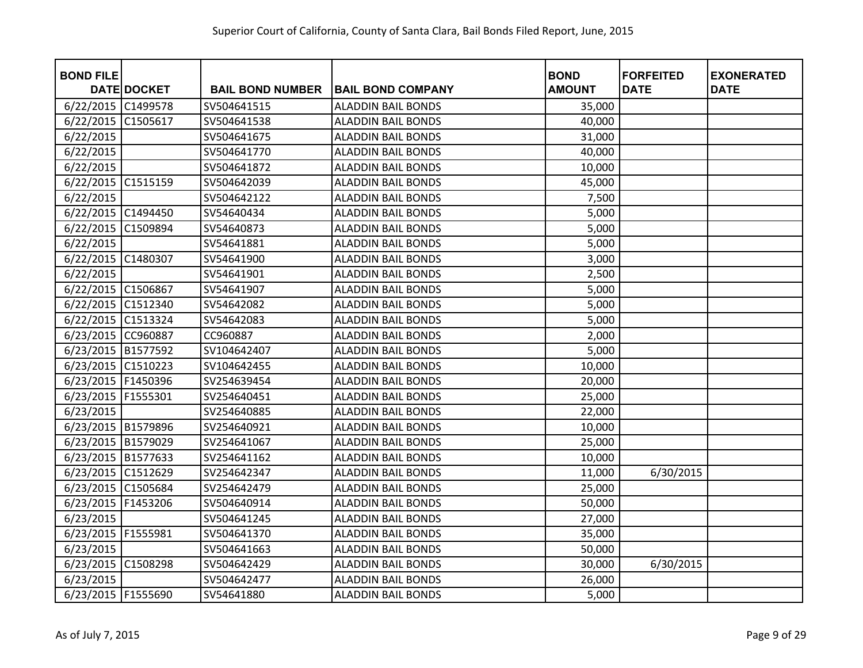| <b>BOND FILE</b>     |                    |                         |                           | <b>BOND</b>   | <b>FORFEITED</b> | <b>EXONERATED</b> |
|----------------------|--------------------|-------------------------|---------------------------|---------------|------------------|-------------------|
|                      | <b>DATE DOCKET</b> | <b>BAIL BOND NUMBER</b> | <b>BAIL BOND COMPANY</b>  | <b>AMOUNT</b> | <b>DATE</b>      | <b>DATE</b>       |
| 6/22/2015            | C1499578           | SV504641515             | <b>ALADDIN BAIL BONDS</b> | 35,000        |                  |                   |
| 6/22/2015            | C1505617           | SV504641538             | <b>ALADDIN BAIL BONDS</b> | 40,000        |                  |                   |
| 6/22/2015            |                    | SV504641675             | <b>ALADDIN BAIL BONDS</b> | 31,000        |                  |                   |
| 6/22/2015            |                    | SV504641770             | <b>ALADDIN BAIL BONDS</b> | 40,000        |                  |                   |
| 6/22/2015            |                    | SV504641872             | <b>ALADDIN BAIL BONDS</b> | 10,000        |                  |                   |
| 6/22/2015            | C1515159           | SV504642039             | <b>ALADDIN BAIL BONDS</b> | 45,000        |                  |                   |
| 6/22/2015            |                    | SV504642122             | <b>ALADDIN BAIL BONDS</b> | 7,500         |                  |                   |
| 6/22/2015            | C1494450           | SV54640434              | <b>ALADDIN BAIL BONDS</b> | 5,000         |                  |                   |
| 6/22/2015            | C1509894           | SV54640873              | <b>ALADDIN BAIL BONDS</b> | 5,000         |                  |                   |
| 6/22/2015            |                    | SV54641881              | <b>ALADDIN BAIL BONDS</b> | 5,000         |                  |                   |
| 6/22/2015 C1480307   |                    | SV54641900              | <b>ALADDIN BAIL BONDS</b> | 3,000         |                  |                   |
| 6/22/2015            |                    | SV54641901              | <b>ALADDIN BAIL BONDS</b> | 2,500         |                  |                   |
| 6/22/2015 C1506867   |                    | SV54641907              | <b>ALADDIN BAIL BONDS</b> | 5,000         |                  |                   |
| 6/22/2015 C1512340   |                    | SV54642082              | <b>ALADDIN BAIL BONDS</b> | 5,000         |                  |                   |
| 6/22/2015 C1513324   |                    | SV54642083              | <b>ALADDIN BAIL BONDS</b> | 5,000         |                  |                   |
| 6/23/2015 CC960887   |                    | CC960887                | <b>ALADDIN BAIL BONDS</b> | 2,000         |                  |                   |
| 6/23/2015            | B1577592           | SV104642407             | <b>ALADDIN BAIL BONDS</b> | 5,000         |                  |                   |
| 6/23/2015            | C1510223           | SV104642455             | <b>ALADDIN BAIL BONDS</b> | 10,000        |                  |                   |
| 6/23/2015            | F1450396           | SV254639454             | <b>ALADDIN BAIL BONDS</b> | 20,000        |                  |                   |
| 6/23/2015            | F1555301           | SV254640451             | <b>ALADDIN BAIL BONDS</b> | 25,000        |                  |                   |
| 6/23/2015            |                    | SV254640885             | <b>ALADDIN BAIL BONDS</b> | 22,000        |                  |                   |
| 6/23/2015 B1579896   |                    | SV254640921             | <b>ALADDIN BAIL BONDS</b> | 10,000        |                  |                   |
| 6/23/2015 B1579029   |                    | SV254641067             | <b>ALADDIN BAIL BONDS</b> | 25,000        |                  |                   |
| 6/23/2015 B1577633   |                    | SV254641162             | <b>ALADDIN BAIL BONDS</b> | 10,000        |                  |                   |
| 6/23/2015 C1512629   |                    | SV254642347             | <b>ALADDIN BAIL BONDS</b> | 11,000        | 6/30/2015        |                   |
| 6/23/2015 C1505684   |                    | SV254642479             | <b>ALADDIN BAIL BONDS</b> | 25,000        |                  |                   |
| 6/23/2015            | F1453206           | SV504640914             | <b>ALADDIN BAIL BONDS</b> | 50,000        |                  |                   |
| 6/23/2015            |                    | SV504641245             | <b>ALADDIN BAIL BONDS</b> | 27,000        |                  |                   |
| 6/23/2015            | F1555981           | SV504641370             | <b>ALADDIN BAIL BONDS</b> | 35,000        |                  |                   |
| 6/23/2015            |                    | SV504641663             | <b>ALADDIN BAIL BONDS</b> | 50,000        |                  |                   |
| 6/23/2015            | C1508298           | SV504642429             | <b>ALADDIN BAIL BONDS</b> | 30,000        | 6/30/2015        |                   |
| 6/23/2015            |                    | SV504642477             | <b>ALADDIN BAIL BONDS</b> | 26,000        |                  |                   |
| 6/23/2015   F1555690 |                    | SV54641880              | <b>ALADDIN BAIL BONDS</b> | 5,000         |                  |                   |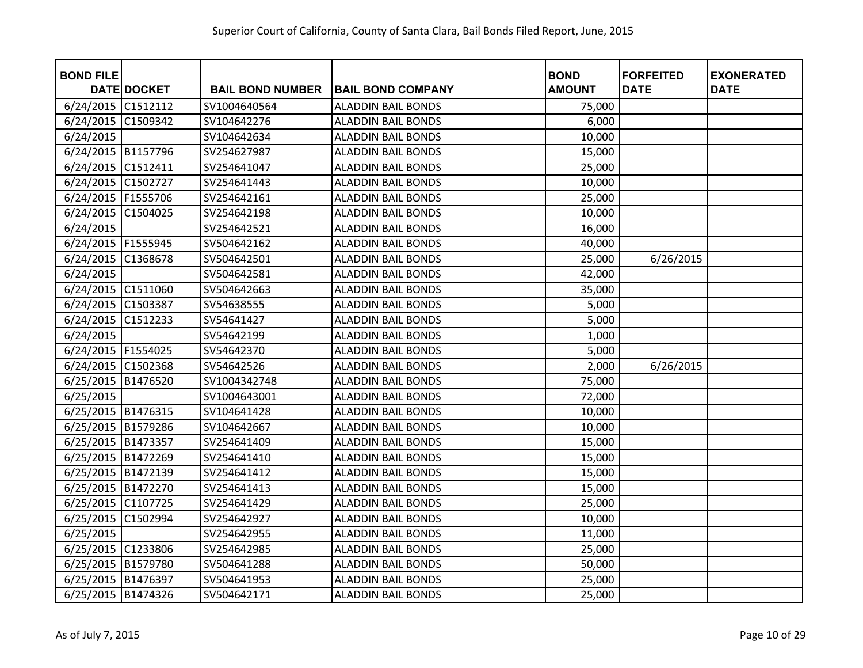| <b>BOND FILE</b>     |                    |                         |                           | <b>BOND</b>   | <b>FORFEITED</b> | <b>EXONERATED</b> |
|----------------------|--------------------|-------------------------|---------------------------|---------------|------------------|-------------------|
|                      | <b>DATE DOCKET</b> | <b>BAIL BOND NUMBER</b> | <b>BAIL BOND COMPANY</b>  | <b>AMOUNT</b> | <b>DATE</b>      | <b>DATE</b>       |
| 6/24/2015 C1512112   |                    | SV1004640564            | <b>ALADDIN BAIL BONDS</b> | 75,000        |                  |                   |
| 6/24/2015            | C1509342           | SV104642276             | <b>ALADDIN BAIL BONDS</b> | 6,000         |                  |                   |
| 6/24/2015            |                    | SV104642634             | <b>ALADDIN BAIL BONDS</b> | 10,000        |                  |                   |
| 6/24/2015 B1157796   |                    | SV254627987             | <b>ALADDIN BAIL BONDS</b> | 15,000        |                  |                   |
| 6/24/2015            | C1512411           | SV254641047             | <b>ALADDIN BAIL BONDS</b> | 25,000        |                  |                   |
| 6/24/2015            | C1502727           | SV254641443             | <b>ALADDIN BAIL BONDS</b> | 10,000        |                  |                   |
| 6/24/2015   F1555706 |                    | SV254642161             | <b>ALADDIN BAIL BONDS</b> | 25,000        |                  |                   |
| 6/24/2015            | C1504025           | SV254642198             | <b>ALADDIN BAIL BONDS</b> | 10,000        |                  |                   |
| 6/24/2015            |                    | SV254642521             | <b>ALADDIN BAIL BONDS</b> | 16,000        |                  |                   |
| 6/24/2015   F1555945 |                    | SV504642162             | <b>ALADDIN BAIL BONDS</b> | 40,000        |                  |                   |
| 6/24/2015            | C1368678           | SV504642501             | <b>ALADDIN BAIL BONDS</b> | 25,000        | 6/26/2015        |                   |
| 6/24/2015            |                    | SV504642581             | <b>ALADDIN BAIL BONDS</b> | 42,000        |                  |                   |
| 6/24/2015 C1511060   |                    | SV504642663             | <b>ALADDIN BAIL BONDS</b> | 35,000        |                  |                   |
| 6/24/2015            | C1503387           | SV54638555              | <b>ALADDIN BAIL BONDS</b> | 5,000         |                  |                   |
| 6/24/2015            | C1512233           | SV54641427              | <b>ALADDIN BAIL BONDS</b> | 5,000         |                  |                   |
| 6/24/2015            |                    | SV54642199              | <b>ALADDIN BAIL BONDS</b> | 1,000         |                  |                   |
| 6/24/2015   F1554025 |                    | SV54642370              | <b>ALADDIN BAIL BONDS</b> | 5,000         |                  |                   |
| 6/24/2015 C1502368   |                    | SV54642526              | <b>ALADDIN BAIL BONDS</b> | 2,000         | 6/26/2015        |                   |
| 6/25/2015            | B1476520           | SV1004342748            | <b>ALADDIN BAIL BONDS</b> | 75,000        |                  |                   |
| 6/25/2015            |                    | SV1004643001            | <b>ALADDIN BAIL BONDS</b> | 72,000        |                  |                   |
| 6/25/2015 B1476315   |                    | SV104641428             | <b>ALADDIN BAIL BONDS</b> | 10,000        |                  |                   |
| 6/25/2015 B1579286   |                    | SV104642667             | <b>ALADDIN BAIL BONDS</b> | 10,000        |                  |                   |
| 6/25/2015 B1473357   |                    | SV254641409             | <b>ALADDIN BAIL BONDS</b> | 15,000        |                  |                   |
| 6/25/2015 B1472269   |                    | SV254641410             | <b>ALADDIN BAIL BONDS</b> | 15,000        |                  |                   |
| 6/25/2015 B1472139   |                    | SV254641412             | <b>ALADDIN BAIL BONDS</b> | 15,000        |                  |                   |
| 6/25/2015 B1472270   |                    | SV254641413             | <b>ALADDIN BAIL BONDS</b> | 15,000        |                  |                   |
| 6/25/2015 C1107725   |                    | SV254641429             | <b>ALADDIN BAIL BONDS</b> | 25,000        |                  |                   |
| 6/25/2015            | C1502994           | SV254642927             | <b>ALADDIN BAIL BONDS</b> | 10,000        |                  |                   |
| 6/25/2015            |                    | SV254642955             | <b>ALADDIN BAIL BONDS</b> | 11,000        |                  |                   |
| 6/25/2015            | C1233806           | SV254642985             | <b>ALADDIN BAIL BONDS</b> | 25,000        |                  |                   |
| 6/25/2015 B1579780   |                    | SV504641288             | <b>ALADDIN BAIL BONDS</b> | 50,000        |                  |                   |
| 6/25/2015 B1476397   |                    | SV504641953             | <b>ALADDIN BAIL BONDS</b> | 25,000        |                  |                   |
| 6/25/2015 B1474326   |                    | SV504642171             | <b>ALADDIN BAIL BONDS</b> | 25,000        |                  |                   |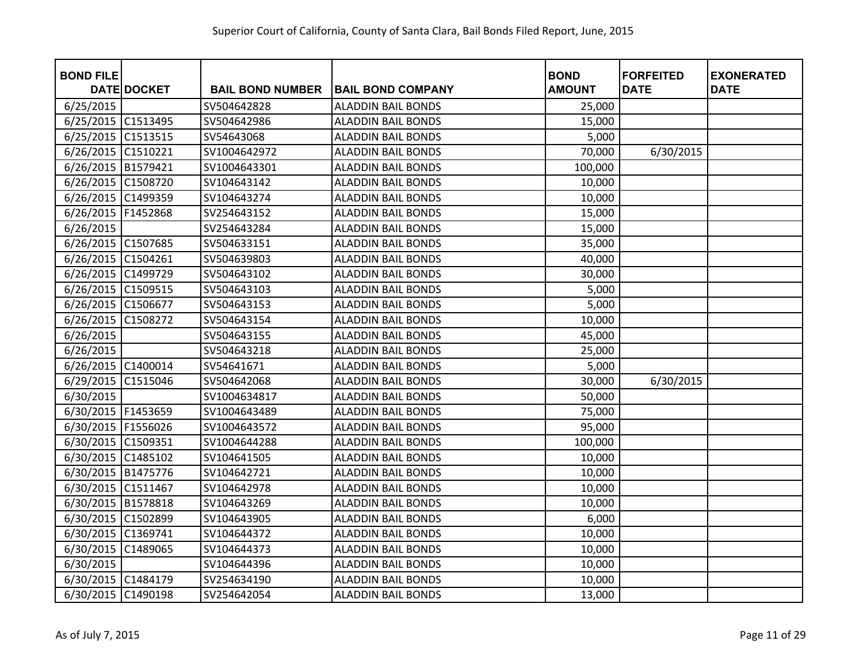| <b>BOND FILE</b>     |                    |                         |                           | <b>BOND</b>   | <b>FORFEITED</b> | <b>EXONERATED</b> |
|----------------------|--------------------|-------------------------|---------------------------|---------------|------------------|-------------------|
|                      | <b>DATE DOCKET</b> | <b>BAIL BOND NUMBER</b> | <b>BAIL BOND COMPANY</b>  | <b>AMOUNT</b> | <b>DATE</b>      | <b>DATE</b>       |
| 6/25/2015            |                    | SV504642828             | <b>ALADDIN BAIL BONDS</b> | 25,000        |                  |                   |
| 6/25/2015            | C1513495           | SV504642986             | <b>ALADDIN BAIL BONDS</b> | 15,000        |                  |                   |
| 6/25/2015            | C1513515           | SV54643068              | <b>ALADDIN BAIL BONDS</b> | 5,000         |                  |                   |
| 6/26/2015            | C1510221           | SV1004642972            | <b>ALADDIN BAIL BONDS</b> | 70,000        | 6/30/2015        |                   |
| 6/26/2015            | B1579421           | SV1004643301            | <b>ALADDIN BAIL BONDS</b> | 100,000       |                  |                   |
| 6/26/2015            | C1508720           | SV104643142             | <b>ALADDIN BAIL BONDS</b> | 10,000        |                  |                   |
| 6/26/2015            | C1499359           | SV104643274             | <b>ALADDIN BAIL BONDS</b> | 10,000        |                  |                   |
| 6/26/2015            | F1452868           | SV254643152             | <b>ALADDIN BAIL BONDS</b> | 15,000        |                  |                   |
| 6/26/2015            |                    | SV254643284             | <b>ALADDIN BAIL BONDS</b> | 15,000        |                  |                   |
| 6/26/2015 C1507685   |                    | SV504633151             | <b>ALADDIN BAIL BONDS</b> | 35,000        |                  |                   |
| 6/26/2015            | C1504261           | SV504639803             | <b>ALADDIN BAIL BONDS</b> | 40,000        |                  |                   |
| 6/26/2015 C1499729   |                    | SV504643102             | <b>ALADDIN BAIL BONDS</b> | 30,000        |                  |                   |
| 6/26/2015            | C1509515           | SV504643103             | <b>ALADDIN BAIL BONDS</b> | 5,000         |                  |                   |
| 6/26/2015            | C1506677           | SV504643153             | <b>ALADDIN BAIL BONDS</b> | 5,000         |                  |                   |
| 6/26/2015            | C1508272           | SV504643154             | <b>ALADDIN BAIL BONDS</b> | 10,000        |                  |                   |
| 6/26/2015            |                    | SV504643155             | <b>ALADDIN BAIL BONDS</b> | 45,000        |                  |                   |
| 6/26/2015            |                    | SV504643218             | <b>ALADDIN BAIL BONDS</b> | 25,000        |                  |                   |
| 6/26/2015            | C1400014           | SV54641671              | <b>ALADDIN BAIL BONDS</b> | 5,000         |                  |                   |
| 6/29/2015            | C1515046           | SV504642068             | <b>ALADDIN BAIL BONDS</b> | 30,000        | 6/30/2015        |                   |
| 6/30/2015            |                    | SV1004634817            | <b>ALADDIN BAIL BONDS</b> | 50,000        |                  |                   |
| 6/30/2015   F1453659 |                    | SV1004643489            | <b>ALADDIN BAIL BONDS</b> | 75,000        |                  |                   |
| 6/30/2015 F1556026   |                    | SV1004643572            | <b>ALADDIN BAIL BONDS</b> | 95,000        |                  |                   |
| 6/30/2015            | C1509351           | SV1004644288            | <b>ALADDIN BAIL BONDS</b> | 100,000       |                  |                   |
| 6/30/2015            | C1485102           | SV104641505             | <b>ALADDIN BAIL BONDS</b> | 10,000        |                  |                   |
| 6/30/2015 B1475776   |                    | SV104642721             | <b>ALADDIN BAIL BONDS</b> | 10,000        |                  |                   |
| 6/30/2015 C1511467   |                    | SV104642978             | <b>ALADDIN BAIL BONDS</b> | 10,000        |                  |                   |
| 6/30/2015 B1578818   |                    | SV104643269             | <b>ALADDIN BAIL BONDS</b> | 10,000        |                  |                   |
| 6/30/2015            | C1502899           | SV104643905             | <b>ALADDIN BAIL BONDS</b> | 6,000         |                  |                   |
| 6/30/2015            | C1369741           | SV104644372             | <b>ALADDIN BAIL BONDS</b> | 10,000        |                  |                   |
| 6/30/2015            | C1489065           | SV104644373             | <b>ALADDIN BAIL BONDS</b> | 10,000        |                  |                   |
| 6/30/2015            |                    | SV104644396             | <b>ALADDIN BAIL BONDS</b> | 10,000        |                  |                   |
| 6/30/2015 C1484179   |                    | SV254634190             | <b>ALADDIN BAIL BONDS</b> | 10,000        |                  |                   |
| 6/30/2015            | C1490198           | SV254642054             | <b>ALADDIN BAIL BONDS</b> | 13,000        |                  |                   |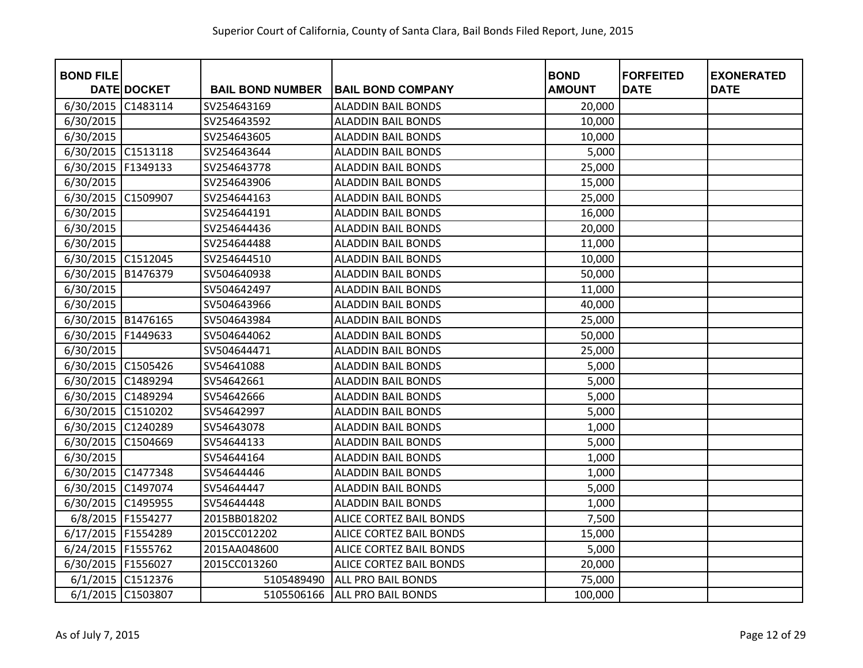| <b>BOND FILE</b>     | <b>DATE DOCKET</b> | <b>BAIL BOND NUMBER</b> | <b>BAIL BOND COMPANY</b>       | <b>BOND</b><br><b>AMOUNT</b> | <b>FORFEITED</b><br><b>DATE</b> | <b>EXONERATED</b><br><b>DATE</b> |
|----------------------|--------------------|-------------------------|--------------------------------|------------------------------|---------------------------------|----------------------------------|
| 6/30/2015            | C1483114           | SV254643169             | <b>ALADDIN BAIL BONDS</b>      | 20,000                       |                                 |                                  |
| 6/30/2015            |                    | SV254643592             | <b>ALADDIN BAIL BONDS</b>      | 10,000                       |                                 |                                  |
| 6/30/2015            |                    | SV254643605             | <b>ALADDIN BAIL BONDS</b>      | 10,000                       |                                 |                                  |
| 6/30/2015 C1513118   |                    | SV254643644             | <b>ALADDIN BAIL BONDS</b>      | 5,000                        |                                 |                                  |
| 6/30/2015            | F1349133           | SV254643778             | <b>ALADDIN BAIL BONDS</b>      | 25,000                       |                                 |                                  |
| 6/30/2015            |                    | SV254643906             | <b>ALADDIN BAIL BONDS</b>      | 15,000                       |                                 |                                  |
| 6/30/2015            | C1509907           | SV254644163             | <b>ALADDIN BAIL BONDS</b>      | 25,000                       |                                 |                                  |
| 6/30/2015            |                    | SV254644191             | <b>ALADDIN BAIL BONDS</b>      | 16,000                       |                                 |                                  |
| 6/30/2015            |                    | SV254644436             | <b>ALADDIN BAIL BONDS</b>      | 20,000                       |                                 |                                  |
| 6/30/2015            |                    | SV254644488             | <b>ALADDIN BAIL BONDS</b>      | 11,000                       |                                 |                                  |
| 6/30/2015 C1512045   |                    | SV254644510             | <b>ALADDIN BAIL BONDS</b>      | 10,000                       |                                 |                                  |
| 6/30/2015            | B1476379           | SV504640938             | <b>ALADDIN BAIL BONDS</b>      | 50,000                       |                                 |                                  |
| 6/30/2015            |                    | SV504642497             | <b>ALADDIN BAIL BONDS</b>      | 11,000                       |                                 |                                  |
| 6/30/2015            |                    | SV504643966             | <b>ALADDIN BAIL BONDS</b>      | 40,000                       |                                 |                                  |
| 6/30/2015 B1476165   |                    | SV504643984             | <b>ALADDIN BAIL BONDS</b>      | 25,000                       |                                 |                                  |
| 6/30/2015            | F1449633           | SV504644062             | <b>ALADDIN BAIL BONDS</b>      | 50,000                       |                                 |                                  |
| 6/30/2015            |                    | SV504644471             | <b>ALADDIN BAIL BONDS</b>      | 25,000                       |                                 |                                  |
| 6/30/2015 C1505426   |                    | SV54641088              | <b>ALADDIN BAIL BONDS</b>      | 5,000                        |                                 |                                  |
| 6/30/2015            | C1489294           | SV54642661              | <b>ALADDIN BAIL BONDS</b>      | 5,000                        |                                 |                                  |
| 6/30/2015            | C1489294           | SV54642666              | <b>ALADDIN BAIL BONDS</b>      | 5,000                        |                                 |                                  |
| 6/30/2015 C1510202   |                    | SV54642997              | <b>ALADDIN BAIL BONDS</b>      | 5,000                        |                                 |                                  |
| 6/30/2015 C1240289   |                    | SV54643078              | <b>ALADDIN BAIL BONDS</b>      | 1,000                        |                                 |                                  |
| 6/30/2015            | C1504669           | SV54644133              | <b>ALADDIN BAIL BONDS</b>      | 5,000                        |                                 |                                  |
| 6/30/2015            |                    | SV54644164              | <b>ALADDIN BAIL BONDS</b>      | 1,000                        |                                 |                                  |
| 6/30/2015 C1477348   |                    | SV54644446              | <b>ALADDIN BAIL BONDS</b>      | 1,000                        |                                 |                                  |
| 6/30/2015 C1497074   |                    | SV54644447              | <b>ALADDIN BAIL BONDS</b>      | 5,000                        |                                 |                                  |
| 6/30/2015 C1495955   |                    | SV54644448              | <b>ALADDIN BAIL BONDS</b>      | 1,000                        |                                 |                                  |
| 6/8/2015 F1554277    |                    | 2015BB018202            | ALICE CORTEZ BAIL BONDS        | 7,500                        |                                 |                                  |
| 6/17/2015 F1554289   |                    | 2015CC012202            | <b>ALICE CORTEZ BAIL BONDS</b> | 15,000                       |                                 |                                  |
| 6/24/2015            | F1555762           | 2015AA048600            | ALICE CORTEZ BAIL BONDS        | 5,000                        |                                 |                                  |
| 6/30/2015   F1556027 |                    | 2015CC013260            | ALICE CORTEZ BAIL BONDS        | 20,000                       |                                 |                                  |
|                      | 6/1/2015 C1512376  | 5105489490              | <b>ALL PRO BAIL BONDS</b>      | 75,000                       |                                 |                                  |
| 6/1/2015 C1503807    |                    | 5105506166              | <b>ALL PRO BAIL BONDS</b>      | 100,000                      |                                 |                                  |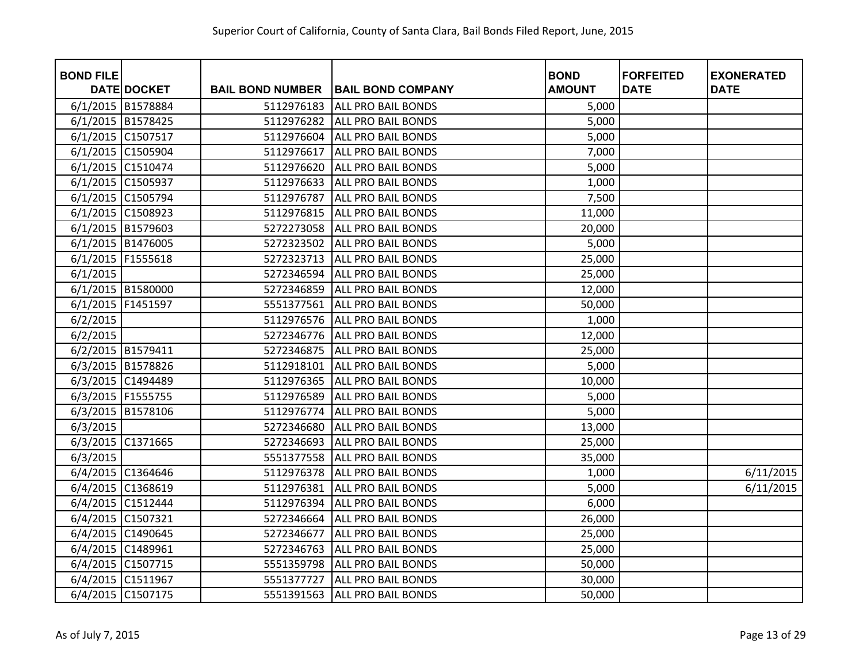| <b>BOND FILE</b> | <b>DATE DOCKET</b>  | <b>BAIL BOND NUMBER</b> | <b>BAIL BOND COMPANY</b>  | <b>BOND</b><br><b>AMOUNT</b> | <b>FORFEITED</b><br><b>DATE</b> | <b>EXONERATED</b><br><b>DATE</b> |
|------------------|---------------------|-------------------------|---------------------------|------------------------------|---------------------------------|----------------------------------|
|                  | 6/1/2015 B1578884   | 5112976183              | ALL PRO BAIL BONDS        | 5,000                        |                                 |                                  |
|                  | 6/1/2015 B1578425   | 5112976282              | <b>ALL PRO BAIL BONDS</b> | 5,000                        |                                 |                                  |
| 6/1/2015         | C1507517            | 5112976604              | <b>ALL PRO BAIL BONDS</b> | 5,000                        |                                 |                                  |
| 6/1/2015         | C1505904            | 5112976617              | <b>ALL PRO BAIL BONDS</b> | 7,000                        |                                 |                                  |
|                  | 6/1/2015 C1510474   | 5112976620              | <b>ALL PRO BAIL BONDS</b> | 5,000                        |                                 |                                  |
| 6/1/2015         | C1505937            | 5112976633              | <b>ALL PRO BAIL BONDS</b> | 1,000                        |                                 |                                  |
| 6/1/2015         | C1505794            | 5112976787              | <b>ALL PRO BAIL BONDS</b> | 7,500                        |                                 |                                  |
|                  | 6/1/2015 C1508923   | 5112976815              | <b>ALL PRO BAIL BONDS</b> | 11,000                       |                                 |                                  |
|                  | 6/1/2015 B1579603   | 5272273058              | <b>ALL PRO BAIL BONDS</b> | 20,000                       |                                 |                                  |
|                  | 6/1/2015 B1476005   | 5272323502              | <b>ALL PRO BAIL BONDS</b> | 5,000                        |                                 |                                  |
|                  |                     | 5272323713              | <b>ALL PRO BAIL BONDS</b> |                              |                                 |                                  |
|                  | 6/1/2015   F1555618 |                         |                           | 25,000                       |                                 |                                  |
| 6/1/2015         |                     | 5272346594              | <b>ALL PRO BAIL BONDS</b> | 25,000                       |                                 |                                  |
|                  | 6/1/2015 B1580000   | 5272346859              | <b>ALL PRO BAIL BONDS</b> | 12,000                       |                                 |                                  |
|                  | 6/1/2015 F1451597   | 5551377561              | <b>ALL PRO BAIL BONDS</b> | 50,000                       |                                 |                                  |
| 6/2/2015         |                     | 5112976576              | <b>ALL PRO BAIL BONDS</b> | 1,000                        |                                 |                                  |
| 6/2/2015         |                     | 5272346776              | <b>ALL PRO BAIL BONDS</b> | 12,000                       |                                 |                                  |
|                  | 6/2/2015 B1579411   | 5272346875              | ALL PRO BAIL BONDS        | 25,000                       |                                 |                                  |
|                  | 6/3/2015 B1578826   | 5112918101              | <b>ALL PRO BAIL BONDS</b> | 5,000                        |                                 |                                  |
|                  | 6/3/2015 C1494489   | 5112976365              | <b>ALL PRO BAIL BONDS</b> | 10,000                       |                                 |                                  |
|                  | 6/3/2015   F1555755 | 5112976589              | ALL PRO BAIL BONDS        | 5,000                        |                                 |                                  |
| 6/3/2015         | B1578106            | 5112976774              | <b>ALL PRO BAIL BONDS</b> | 5,000                        |                                 |                                  |
| 6/3/2015         |                     | 5272346680              | <b>ALL PRO BAIL BONDS</b> | 13,000                       |                                 |                                  |
| 6/3/2015         | C1371665            | 5272346693              | <b>ALL PRO BAIL BONDS</b> | 25,000                       |                                 |                                  |
| 6/3/2015         |                     | 5551377558              | <b>ALL PRO BAIL BONDS</b> | 35,000                       |                                 |                                  |
| 6/4/2015         | C1364646            | 5112976378              | <b>ALL PRO BAIL BONDS</b> | 1,000                        |                                 | 6/11/2015                        |
| 6/4/2015         | C1368619            | 5112976381              | <b>ALL PRO BAIL BONDS</b> | 5,000                        |                                 | 6/11/2015                        |
|                  | 6/4/2015 C1512444   | 5112976394              | <b>ALL PRO BAIL BONDS</b> | 6,000                        |                                 |                                  |
|                  | 6/4/2015 C1507321   | 5272346664              | <b>ALL PRO BAIL BONDS</b> | 26,000                       |                                 |                                  |
|                  | 6/4/2015 C1490645   | 5272346677              | ALL PRO BAIL BONDS        | 25,000                       |                                 |                                  |
|                  | 6/4/2015 C1489961   | 5272346763              | <b>ALL PRO BAIL BONDS</b> | 25,000                       |                                 |                                  |
|                  | 6/4/2015 C1507715   | 5551359798              | <b>ALL PRO BAIL BONDS</b> | 50,000                       |                                 |                                  |
|                  | 6/4/2015 C1511967   | 5551377727              | <b>ALL PRO BAIL BONDS</b> | 30,000                       |                                 |                                  |
|                  | 6/4/2015 C1507175   | 5551391563              | <b>ALL PRO BAIL BONDS</b> | 50,000                       |                                 |                                  |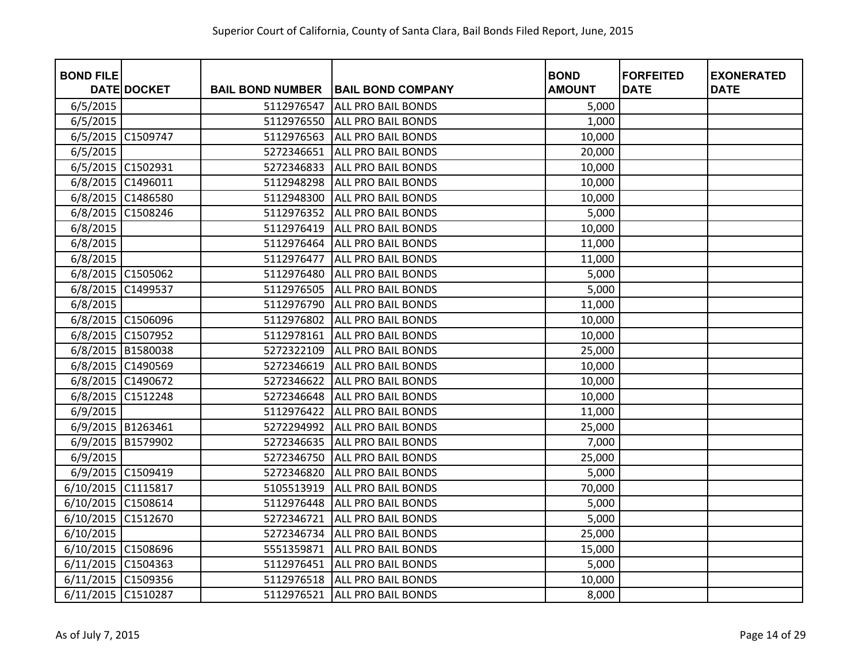| <b>BOND FILE</b>   | DATE DOCKET       | <b>BAIL BOND NUMBER</b> | <b>BAIL BOND COMPANY</b>  | <b>BOND</b><br><b>AMOUNT</b> | <b>FORFEITED</b><br><b>DATE</b> | <b>EXONERATED</b><br><b>DATE</b> |
|--------------------|-------------------|-------------------------|---------------------------|------------------------------|---------------------------------|----------------------------------|
|                    |                   |                         |                           |                              |                                 |                                  |
| 6/5/2015           |                   | 5112976547              | <b>ALL PRO BAIL BONDS</b> | 5,000                        |                                 |                                  |
| 6/5/2015           |                   | 5112976550              | <b>ALL PRO BAIL BONDS</b> | 1,000                        |                                 |                                  |
| 6/5/2015           | C1509747          | 5112976563              | <b>ALL PRO BAIL BONDS</b> | 10,000                       |                                 |                                  |
| 6/5/2015           |                   | 5272346651              | <b>ALL PRO BAIL BONDS</b> | 20,000                       |                                 |                                  |
| 6/5/2015           | C1502931          | 5272346833              | <b>ALL PRO BAIL BONDS</b> | 10,000                       |                                 |                                  |
| 6/8/2015           | C1496011          | 5112948298              | <b>ALL PRO BAIL BONDS</b> | 10,000                       |                                 |                                  |
| 6/8/2015           | C1486580          | 5112948300              | <b>ALL PRO BAIL BONDS</b> | 10,000                       |                                 |                                  |
| 6/8/2015           | C1508246          | 5112976352              | <b>ALL PRO BAIL BONDS</b> | 5,000                        |                                 |                                  |
| 6/8/2015           |                   | 5112976419              | <b>ALL PRO BAIL BONDS</b> | 10,000                       |                                 |                                  |
| 6/8/2015           |                   | 5112976464              | <b>ALL PRO BAIL BONDS</b> | 11,000                       |                                 |                                  |
| 6/8/2015           |                   | 5112976477              | <b>ALL PRO BAIL BONDS</b> | 11,000                       |                                 |                                  |
|                    | 6/8/2015 C1505062 | 5112976480              | <b>ALL PRO BAIL BONDS</b> | 5,000                        |                                 |                                  |
| 6/8/2015           | C1499537          | 5112976505              | <b>ALL PRO BAIL BONDS</b> | 5,000                        |                                 |                                  |
| 6/8/2015           |                   | 5112976790              | <b>ALL PRO BAIL BONDS</b> | 11,000                       |                                 |                                  |
| 6/8/2015           | C1506096          | 5112976802              | <b>ALL PRO BAIL BONDS</b> | 10,000                       |                                 |                                  |
| 6/8/2015           | C1507952          | 5112978161              | <b>ALL PRO BAIL BONDS</b> | 10,000                       |                                 |                                  |
|                    | 6/8/2015 B1580038 | 5272322109              | <b>ALL PRO BAIL BONDS</b> | 25,000                       |                                 |                                  |
| 6/8/2015           | C1490569          | 5272346619              | <b>ALL PRO BAIL BONDS</b> | 10,000                       |                                 |                                  |
|                    | 6/8/2015 C1490672 | 5272346622              | <b>ALL PRO BAIL BONDS</b> | 10,000                       |                                 |                                  |
| 6/8/2015           | C1512248          | 5272346648              | <b>ALL PRO BAIL BONDS</b> | 10,000                       |                                 |                                  |
| 6/9/2015           |                   | 5112976422              | <b>ALL PRO BAIL BONDS</b> | 11,000                       |                                 |                                  |
|                    | 6/9/2015 B1263461 | 5272294992              | <b>ALL PRO BAIL BONDS</b> | 25,000                       |                                 |                                  |
| 6/9/2015           | B1579902          | 5272346635              | <b>ALL PRO BAIL BONDS</b> | 7,000                        |                                 |                                  |
| 6/9/2015           |                   | 5272346750              | <b>ALL PRO BAIL BONDS</b> | 25,000                       |                                 |                                  |
|                    | 6/9/2015 C1509419 | 5272346820              | <b>ALL PRO BAIL BONDS</b> | 5,000                        |                                 |                                  |
| 6/10/2015          | C1115817          | 5105513919              | <b>ALL PRO BAIL BONDS</b> | 70,000                       |                                 |                                  |
| 6/10/2015 C1508614 |                   | 5112976448              | <b>ALL PRO BAIL BONDS</b> | 5,000                        |                                 |                                  |
| 6/10/2015          | C1512670          | 5272346721              | <b>ALL PRO BAIL BONDS</b> | 5,000                        |                                 |                                  |
| 6/10/2015          |                   | 5272346734              | <b>ALL PRO BAIL BONDS</b> | 25,000                       |                                 |                                  |
| 6/10/2015 C1508696 |                   | 5551359871              | <b>ALL PRO BAIL BONDS</b> | 15,000                       |                                 |                                  |
| 6/11/2015 C1504363 |                   | 5112976451              | <b>ALL PRO BAIL BONDS</b> | 5,000                        |                                 |                                  |
| 6/11/2015 C1509356 |                   | 5112976518              | <b>ALL PRO BAIL BONDS</b> | 10,000                       |                                 |                                  |
| 6/11/2015 C1510287 |                   | 5112976521              | <b>ALL PRO BAIL BONDS</b> | 8,000                        |                                 |                                  |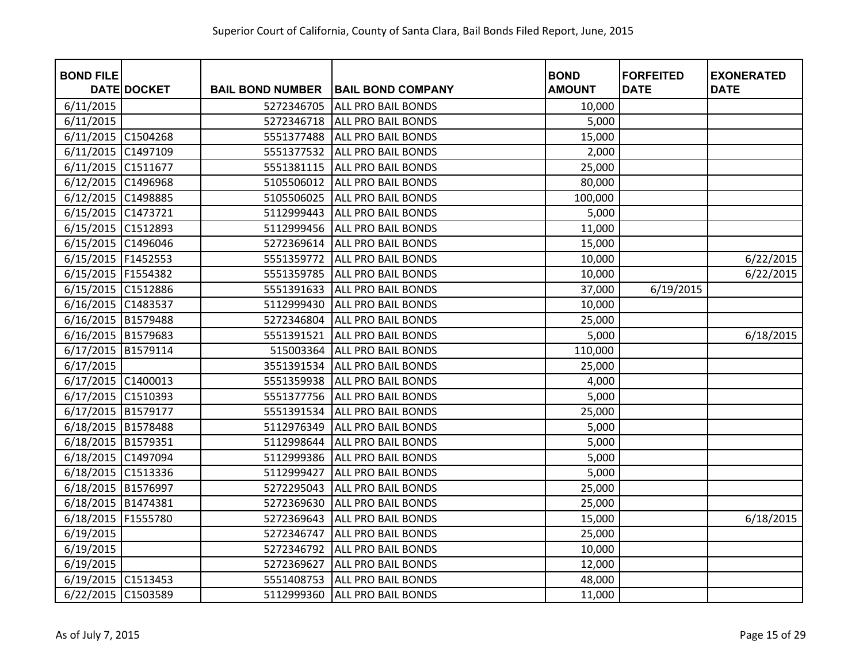| <b>BOND FILE</b>   |                    |                         |                           | <b>BOND</b>   | <b>FORFEITED</b> | <b>EXONERATED</b> |
|--------------------|--------------------|-------------------------|---------------------------|---------------|------------------|-------------------|
|                    | <b>DATE DOCKET</b> | <b>BAIL BOND NUMBER</b> | <b>BAIL BOND COMPANY</b>  | <b>AMOUNT</b> | <b>DATE</b>      | <b>DATE</b>       |
| 6/11/2015          |                    | 5272346705              | <b>ALL PRO BAIL BONDS</b> | 10,000        |                  |                   |
| 6/11/2015          |                    | 5272346718              | <b>ALL PRO BAIL BONDS</b> | 5,000         |                  |                   |
| 6/11/2015 C1504268 |                    | 5551377488              | <b>ALL PRO BAIL BONDS</b> | 15,000        |                  |                   |
| 6/11/2015 C1497109 |                    | 5551377532              | <b>ALL PRO BAIL BONDS</b> | 2,000         |                  |                   |
| 6/11/2015 C1511677 |                    | 5551381115              | <b>ALL PRO BAIL BONDS</b> | 25,000        |                  |                   |
| 6/12/2015          | C1496968           | 5105506012              | <b>ALL PRO BAIL BONDS</b> | 80,000        |                  |                   |
| 6/12/2015 C1498885 |                    | 5105506025              | <b>ALL PRO BAIL BONDS</b> | 100,000       |                  |                   |
| 6/15/2015          | C1473721           | 5112999443              | <b>ALL PRO BAIL BONDS</b> | 5,000         |                  |                   |
| 6/15/2015          | C1512893           | 5112999456              | <b>ALL PRO BAIL BONDS</b> | 11,000        |                  |                   |
| 6/15/2015 C1496046 |                    | 5272369614              | <b>ALL PRO BAIL BONDS</b> | 15,000        |                  |                   |
| 6/15/2015 F1452553 |                    | 5551359772              | <b>ALL PRO BAIL BONDS</b> | 10,000        |                  | 6/22/2015         |
| 6/15/2015 F1554382 |                    | 5551359785              | <b>ALL PRO BAIL BONDS</b> | 10,000        |                  | 6/22/2015         |
| 6/15/2015 C1512886 |                    | 5551391633              | <b>ALL PRO BAIL BONDS</b> | 37,000        | 6/19/2015        |                   |
| 6/16/2015 C1483537 |                    | 5112999430              | <b>ALL PRO BAIL BONDS</b> | 10,000        |                  |                   |
| 6/16/2015 B1579488 |                    | 5272346804              | <b>ALL PRO BAIL BONDS</b> | 25,000        |                  |                   |
| 6/16/2015 B1579683 |                    | 5551391521              | <b>ALL PRO BAIL BONDS</b> | 5,000         |                  | 6/18/2015         |
| 6/17/2015          | B1579114           | 515003364               | <b>ALL PRO BAIL BONDS</b> | 110,000       |                  |                   |
| 6/17/2015          |                    | 3551391534              | <b>ALL PRO BAIL BONDS</b> | 25,000        |                  |                   |
| 6/17/2015 C1400013 |                    | 5551359938              | <b>ALL PRO BAIL BONDS</b> | 4,000         |                  |                   |
| 6/17/2015          | C1510393           | 5551377756              | <b>ALL PRO BAIL BONDS</b> | 5,000         |                  |                   |
| 6/17/2015 B1579177 |                    | 5551391534              | <b>ALL PRO BAIL BONDS</b> | 25,000        |                  |                   |
| 6/18/2015 B1578488 |                    | 5112976349              | <b>ALL PRO BAIL BONDS</b> | 5,000         |                  |                   |
| 6/18/2015 B1579351 |                    | 5112998644              | <b>ALL PRO BAIL BONDS</b> | 5,000         |                  |                   |
| 6/18/2015 C1497094 |                    | 5112999386              | <b>ALL PRO BAIL BONDS</b> | 5,000         |                  |                   |
| 6/18/2015 C1513336 |                    | 5112999427              | <b>ALL PRO BAIL BONDS</b> | 5,000         |                  |                   |
| 6/18/2015 B1576997 |                    | 5272295043              | <b>ALL PRO BAIL BONDS</b> | 25,000        |                  |                   |
| 6/18/2015 B1474381 |                    | 5272369630              | <b>ALL PRO BAIL BONDS</b> | 25,000        |                  |                   |
| 6/18/2015          | F1555780           | 5272369643              | ALL PRO BAIL BONDS        | 15,000        |                  | 6/18/2015         |
| 6/19/2015          |                    | 5272346747              | <b>ALL PRO BAIL BONDS</b> | 25,000        |                  |                   |
| 6/19/2015          |                    | 5272346792              | <b>ALL PRO BAIL BONDS</b> | 10,000        |                  |                   |
| 6/19/2015          |                    | 5272369627              | <b>ALL PRO BAIL BONDS</b> | 12,000        |                  |                   |
| 6/19/2015 C1513453 |                    | 5551408753              | <b>ALL PRO BAIL BONDS</b> | 48,000        |                  |                   |
| 6/22/2015 C1503589 |                    | 5112999360              | <b>ALL PRO BAIL BONDS</b> | 11,000        |                  |                   |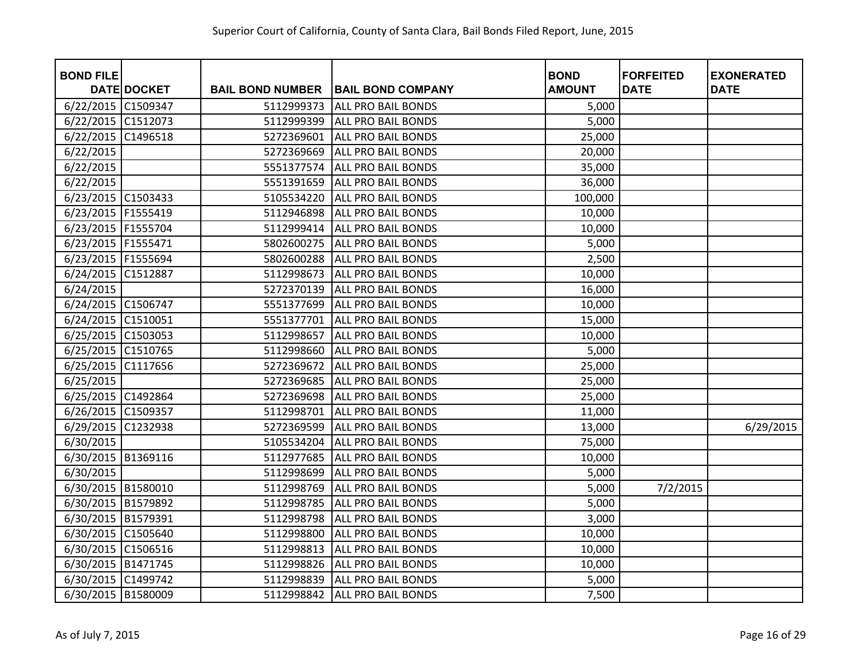| <b>BOND FILE</b>     |                    |                         |                           | <b>BOND</b>   | <b>FORFEITED</b> | <b>EXONERATED</b> |
|----------------------|--------------------|-------------------------|---------------------------|---------------|------------------|-------------------|
|                      | <b>DATE DOCKET</b> | <b>BAIL BOND NUMBER</b> | <b>BAIL BOND COMPANY</b>  | <b>AMOUNT</b> | <b>DATE</b>      | <b>DATE</b>       |
| 6/22/2015 C1509347   |                    | 5112999373              | <b>ALL PRO BAIL BONDS</b> | 5,000         |                  |                   |
| 6/22/2015 C1512073   |                    | 5112999399              | <b>ALL PRO BAIL BONDS</b> | 5,000         |                  |                   |
| 6/22/2015            | C1496518           | 5272369601              | <b>ALL PRO BAIL BONDS</b> | 25,000        |                  |                   |
| 6/22/2015            |                    | 5272369669              | <b>ALL PRO BAIL BONDS</b> | 20,000        |                  |                   |
| 6/22/2015            |                    | 5551377574              | <b>ALL PRO BAIL BONDS</b> | 35,000        |                  |                   |
| 6/22/2015            |                    | 5551391659              | <b>ALL PRO BAIL BONDS</b> | 36,000        |                  |                   |
| 6/23/2015 C1503433   |                    | 5105534220              | <b>ALL PRO BAIL BONDS</b> | 100,000       |                  |                   |
| 6/23/2015            | F1555419           | 5112946898              | <b>ALL PRO BAIL BONDS</b> | 10,000        |                  |                   |
| 6/23/2015   F1555704 |                    | 5112999414              | <b>ALL PRO BAIL BONDS</b> | 10,000        |                  |                   |
| 6/23/2015   F1555471 |                    | 5802600275              | <b>ALL PRO BAIL BONDS</b> | 5,000         |                  |                   |
| 6/23/2015   F1555694 |                    | 5802600288              | <b>ALL PRO BAIL BONDS</b> | 2,500         |                  |                   |
| 6/24/2015 C1512887   |                    | 5112998673              | <b>ALL PRO BAIL BONDS</b> | 10,000        |                  |                   |
| 6/24/2015            |                    | 5272370139              | <b>ALL PRO BAIL BONDS</b> | 16,000        |                  |                   |
| 6/24/2015 C1506747   |                    | 5551377699              | <b>ALL PRO BAIL BONDS</b> | 10,000        |                  |                   |
| 6/24/2015 C1510051   |                    | 5551377701              | <b>ALL PRO BAIL BONDS</b> | 15,000        |                  |                   |
| 6/25/2015 C1503053   |                    | 5112998657              | <b>ALL PRO BAIL BONDS</b> | 10,000        |                  |                   |
| 6/25/2015 C1510765   |                    | 5112998660              | <b>ALL PRO BAIL BONDS</b> | 5,000         |                  |                   |
| 6/25/2015            | C1117656           | 5272369672              | <b>ALL PRO BAIL BONDS</b> | 25,000        |                  |                   |
| 6/25/2015            |                    | 5272369685              | <b>ALL PRO BAIL BONDS</b> | 25,000        |                  |                   |
| 6/25/2015            | C1492864           | 5272369698              | <b>ALL PRO BAIL BONDS</b> | 25,000        |                  |                   |
| 6/26/2015 C1509357   |                    | 5112998701              | ALL PRO BAIL BONDS        | 11,000        |                  |                   |
| 6/29/2015            | C1232938           | 5272369599              | <b>ALL PRO BAIL BONDS</b> | 13,000        |                  | 6/29/2015         |
| 6/30/2015            |                    | 5105534204              | <b>ALL PRO BAIL BONDS</b> | 75,000        |                  |                   |
| 6/30/2015            | B1369116           | 5112977685              | <b>ALL PRO BAIL BONDS</b> | 10,000        |                  |                   |
| 6/30/2015            |                    | 5112998699              | <b>ALL PRO BAIL BONDS</b> | 5,000         |                  |                   |
| 6/30/2015 B1580010   |                    | 5112998769              | <b>ALL PRO BAIL BONDS</b> | 5,000         | 7/2/2015         |                   |
| 6/30/2015 B1579892   |                    | 5112998785              | <b>ALL PRO BAIL BONDS</b> | 5,000         |                  |                   |
| 6/30/2015 B1579391   |                    | 5112998798              | <b>ALL PRO BAIL BONDS</b> | 3,000         |                  |                   |
| 6/30/2015            | C1505640           | 5112998800              | <b>ALL PRO BAIL BONDS</b> | 10,000        |                  |                   |
| 6/30/2015 C1506516   |                    | 5112998813              | <b>ALL PRO BAIL BONDS</b> | 10,000        |                  |                   |
| 6/30/2015 B1471745   |                    | 5112998826              | <b>ALL PRO BAIL BONDS</b> | 10,000        |                  |                   |
| 6/30/2015 C1499742   |                    | 5112998839              | <b>ALL PRO BAIL BONDS</b> | 5,000         |                  |                   |
| 6/30/2015 B1580009   |                    | 5112998842              | <b>ALL PRO BAIL BONDS</b> | 7,500         |                  |                   |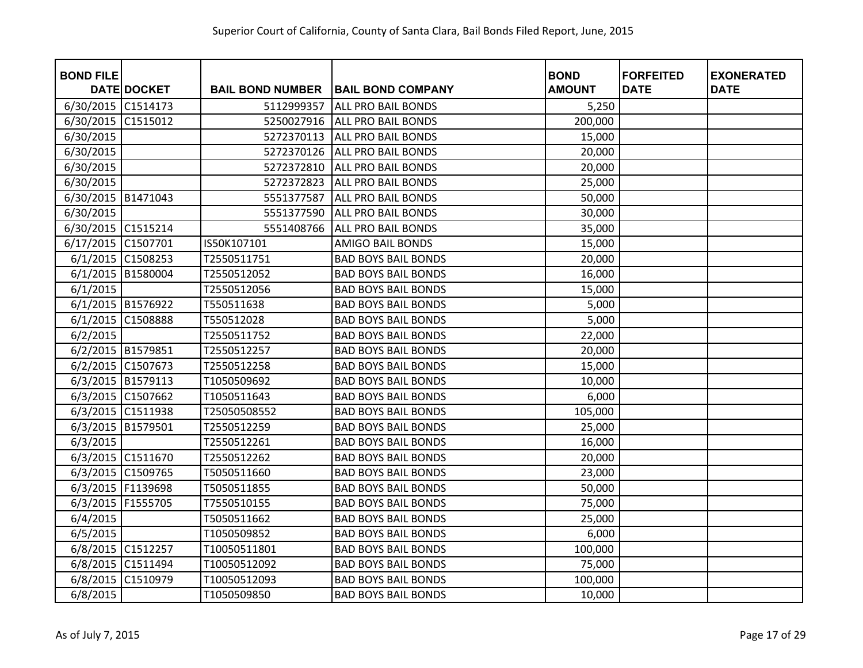| <b>BOND FILE</b>   |                    |                         |                            | <b>BOND</b>   | <b>FORFEITED</b> | <b>EXONERATED</b> |
|--------------------|--------------------|-------------------------|----------------------------|---------------|------------------|-------------------|
|                    | <b>DATE DOCKET</b> | <b>BAIL BOND NUMBER</b> | <b>BAIL BOND COMPANY</b>   | <b>AMOUNT</b> | <b>DATE</b>      | <b>DATE</b>       |
| 6/30/2015 C1514173 |                    | 5112999357              | <b>ALL PRO BAIL BONDS</b>  | 5,250         |                  |                   |
| 6/30/2015          | C1515012           | 5250027916              | <b>ALL PRO BAIL BONDS</b>  | 200,000       |                  |                   |
| 6/30/2015          |                    | 5272370113              | <b>ALL PRO BAIL BONDS</b>  | 15,000        |                  |                   |
| 6/30/2015          |                    | 5272370126              | <b>ALL PRO BAIL BONDS</b>  | 20,000        |                  |                   |
| 6/30/2015          |                    | 5272372810              | <b>ALL PRO BAIL BONDS</b>  | 20,000        |                  |                   |
| 6/30/2015          |                    | 5272372823              | <b>ALL PRO BAIL BONDS</b>  | 25,000        |                  |                   |
| 6/30/2015 B1471043 |                    | 5551377587              | <b>ALL PRO BAIL BONDS</b>  | 50,000        |                  |                   |
| 6/30/2015          |                    | 5551377590              | <b>ALL PRO BAIL BONDS</b>  | 30,000        |                  |                   |
| 6/30/2015 C1515214 |                    | 5551408766              | ALL PRO BAIL BONDS         | 35,000        |                  |                   |
| 6/17/2015 C1507701 |                    | IS50K107101             | <b>AMIGO BAIL BONDS</b>    | 15,000        |                  |                   |
| 6/1/2015 C1508253  |                    | T2550511751             | <b>BAD BOYS BAIL BONDS</b> | 20,000        |                  |                   |
| 6/1/2015 B1580004  |                    | T2550512052             | <b>BAD BOYS BAIL BONDS</b> | 16,000        |                  |                   |
| 6/1/2015           |                    | T2550512056             | <b>BAD BOYS BAIL BONDS</b> | 15,000        |                  |                   |
| 6/1/2015 B1576922  |                    | T550511638              | <b>BAD BOYS BAIL BONDS</b> | 5,000         |                  |                   |
| 6/1/2015           | C1508888           | T550512028              | <b>BAD BOYS BAIL BONDS</b> | 5,000         |                  |                   |
| 6/2/2015           |                    | T2550511752             | <b>BAD BOYS BAIL BONDS</b> | 22,000        |                  |                   |
| 6/2/2015 B1579851  |                    | T2550512257             | <b>BAD BOYS BAIL BONDS</b> | 20,000        |                  |                   |
| 6/2/2015 C1507673  |                    | T2550512258             | <b>BAD BOYS BAIL BONDS</b> | 15,000        |                  |                   |
| 6/3/2015 B1579113  |                    | T1050509692             | <b>BAD BOYS BAIL BONDS</b> | 10,000        |                  |                   |
| 6/3/2015 C1507662  |                    | T1050511643             | <b>BAD BOYS BAIL BONDS</b> | 6,000         |                  |                   |
| 6/3/2015 C1511938  |                    | T25050508552            | <b>BAD BOYS BAIL BONDS</b> | 105,000       |                  |                   |
| 6/3/2015 B1579501  |                    | T2550512259             | <b>BAD BOYS BAIL BONDS</b> | 25,000        |                  |                   |
| 6/3/2015           |                    | T2550512261             | <b>BAD BOYS BAIL BONDS</b> | 16,000        |                  |                   |
| 6/3/2015 C1511670  |                    | T2550512262             | <b>BAD BOYS BAIL BONDS</b> | 20,000        |                  |                   |
| 6/3/2015 C1509765  |                    | T5050511660             | <b>BAD BOYS BAIL BONDS</b> | 23,000        |                  |                   |
| 6/3/2015 F1139698  |                    | T5050511855             | <b>BAD BOYS BAIL BONDS</b> | 50,000        |                  |                   |
| 6/3/2015 F1555705  |                    | T7550510155             | <b>BAD BOYS BAIL BONDS</b> | 75,000        |                  |                   |
| 6/4/2015           |                    | T5050511662             | <b>BAD BOYS BAIL BONDS</b> | 25,000        |                  |                   |
| 6/5/2015           |                    | T1050509852             | <b>BAD BOYS BAIL BONDS</b> | 6,000         |                  |                   |
| 6/8/2015 C1512257  |                    | T10050511801            | <b>BAD BOYS BAIL BONDS</b> | 100,000       |                  |                   |
| 6/8/2015 C1511494  |                    | T10050512092            | <b>BAD BOYS BAIL BONDS</b> | 75,000        |                  |                   |
| 6/8/2015           | C1510979           | T10050512093            | <b>BAD BOYS BAIL BONDS</b> | 100,000       |                  |                   |
| 6/8/2015           |                    | T1050509850             | <b>BAD BOYS BAIL BONDS</b> | 10,000        |                  |                   |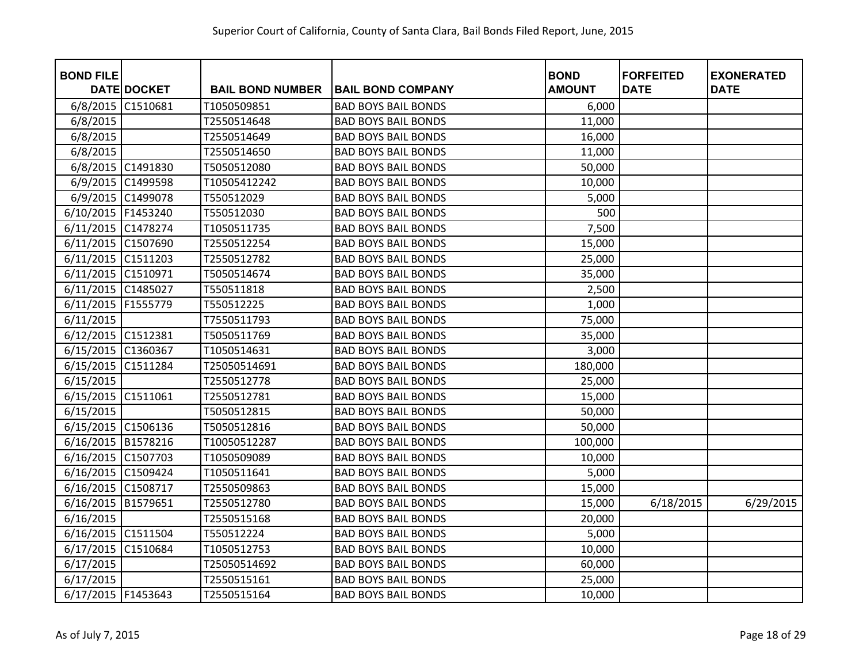| <b>BOND FILE</b>     |                    |                         |                            | <b>BOND</b>   | <b>FORFEITED</b> | <b>EXONERATED</b> |
|----------------------|--------------------|-------------------------|----------------------------|---------------|------------------|-------------------|
|                      | <b>DATE DOCKET</b> | <b>BAIL BOND NUMBER</b> | <b>BAIL BOND COMPANY</b>   | <b>AMOUNT</b> | <b>DATE</b>      | <b>DATE</b>       |
| 6/8/2015 C1510681    |                    | T1050509851             | <b>BAD BOYS BAIL BONDS</b> | 6,000         |                  |                   |
| 6/8/2015             |                    | T2550514648             | <b>BAD BOYS BAIL BONDS</b> | 11,000        |                  |                   |
| 6/8/2015             |                    | T2550514649             | <b>BAD BOYS BAIL BONDS</b> | 16,000        |                  |                   |
| 6/8/2015             |                    | T2550514650             | <b>BAD BOYS BAIL BONDS</b> | 11,000        |                  |                   |
|                      | 6/8/2015 C1491830  | T5050512080             | <b>BAD BOYS BAIL BONDS</b> | 50,000        |                  |                   |
|                      | 6/9/2015 C1499598  | T10505412242            | <b>BAD BOYS BAIL BONDS</b> | 10,000        |                  |                   |
|                      | 6/9/2015 C1499078  | T550512029              | <b>BAD BOYS BAIL BONDS</b> | 5,000         |                  |                   |
| 6/10/2015 F1453240   |                    | T550512030              | <b>BAD BOYS BAIL BONDS</b> | 500           |                  |                   |
| 6/11/2015            | C1478274           | T1050511735             | <b>BAD BOYS BAIL BONDS</b> | 7,500         |                  |                   |
| 6/11/2015 C1507690   |                    | T2550512254             | <b>BAD BOYS BAIL BONDS</b> | 15,000        |                  |                   |
| 6/11/2015 C1511203   |                    | T2550512782             | <b>BAD BOYS BAIL BONDS</b> | 25,000        |                  |                   |
| 6/11/2015 C1510971   |                    | T5050514674             | <b>BAD BOYS BAIL BONDS</b> | 35,000        |                  |                   |
| 6/11/2015 C1485027   |                    | T550511818              | <b>BAD BOYS BAIL BONDS</b> | 2,500         |                  |                   |
| 6/11/2015   F1555779 |                    | T550512225              | <b>BAD BOYS BAIL BONDS</b> | 1,000         |                  |                   |
| 6/11/2015            |                    | T7550511793             | <b>BAD BOYS BAIL BONDS</b> | 75,000        |                  |                   |
| 6/12/2015 C1512381   |                    | T5050511769             | <b>BAD BOYS BAIL BONDS</b> | 35,000        |                  |                   |
| 6/15/2015            | C1360367           | T1050514631             | <b>BAD BOYS BAIL BONDS</b> | 3,000         |                  |                   |
| 6/15/2015            | C1511284           | T25050514691            | <b>BAD BOYS BAIL BONDS</b> | 180,000       |                  |                   |
| 6/15/2015            |                    | T2550512778             | <b>BAD BOYS BAIL BONDS</b> | 25,000        |                  |                   |
| 6/15/2015            | C1511061           | T2550512781             | <b>BAD BOYS BAIL BONDS</b> | 15,000        |                  |                   |
| 6/15/2015            |                    | T5050512815             | <b>BAD BOYS BAIL BONDS</b> | 50,000        |                  |                   |
| 6/15/2015 C1506136   |                    | T5050512816             | <b>BAD BOYS BAIL BONDS</b> | 50,000        |                  |                   |
| 6/16/2015 B1578216   |                    | T10050512287            | <b>BAD BOYS BAIL BONDS</b> | 100,000       |                  |                   |
| 6/16/2015 C1507703   |                    | T1050509089             | <b>BAD BOYS BAIL BONDS</b> | 10,000        |                  |                   |
| 6/16/2015 C1509424   |                    | T1050511641             | <b>BAD BOYS BAIL BONDS</b> | 5,000         |                  |                   |
| 6/16/2015 C1508717   |                    | T2550509863             | <b>BAD BOYS BAIL BONDS</b> | 15,000        |                  |                   |
| 6/16/2015 B1579651   |                    | T2550512780             | <b>BAD BOYS BAIL BONDS</b> | 15,000        | 6/18/2015        | 6/29/2015         |
| 6/16/2015            |                    | T2550515168             | <b>BAD BOYS BAIL BONDS</b> | 20,000        |                  |                   |
| 6/16/2015 C1511504   |                    | T550512224              | <b>BAD BOYS BAIL BONDS</b> | 5,000         |                  |                   |
| 6/17/2015            | C1510684           | T1050512753             | <b>BAD BOYS BAIL BONDS</b> | 10,000        |                  |                   |
| 6/17/2015            |                    | T25050514692            | <b>BAD BOYS BAIL BONDS</b> | 60,000        |                  |                   |
| 6/17/2015            |                    | T2550515161             | <b>BAD BOYS BAIL BONDS</b> | 25,000        |                  |                   |
| 6/17/2015   F1453643 |                    | T2550515164             | <b>BAD BOYS BAIL BONDS</b> | 10,000        |                  |                   |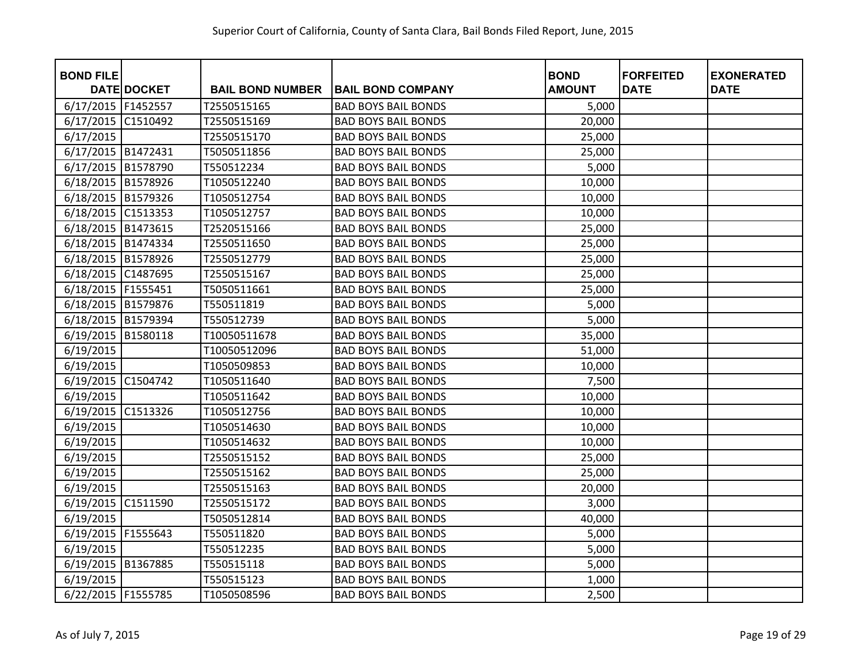| <b>BOND FILE</b>     | <b>DATE DOCKET</b> | <b>BAIL BOND NUMBER</b> | <b>BAIL BOND COMPANY</b>   | <b>BOND</b><br><b>AMOUNT</b> | <b>FORFEITED</b><br><b>DATE</b> | <b>EXONERATED</b><br><b>DATE</b> |
|----------------------|--------------------|-------------------------|----------------------------|------------------------------|---------------------------------|----------------------------------|
| 6/17/2015 F1452557   |                    | T2550515165             | <b>BAD BOYS BAIL BONDS</b> | 5,000                        |                                 |                                  |
|                      |                    |                         |                            |                              |                                 |                                  |
| 6/17/2015            | C1510492           | T2550515169             | <b>BAD BOYS BAIL BONDS</b> | 20,000                       |                                 |                                  |
| 6/17/2015            |                    | T2550515170             | <b>BAD BOYS BAIL BONDS</b> | 25,000                       |                                 |                                  |
| 6/17/2015 B1472431   |                    | T5050511856             | <b>BAD BOYS BAIL BONDS</b> | 25,000                       |                                 |                                  |
| 6/17/2015 B1578790   |                    | T550512234              | <b>BAD BOYS BAIL BONDS</b> | 5,000                        |                                 |                                  |
| 6/18/2015            | B1578926           | T1050512240             | <b>BAD BOYS BAIL BONDS</b> | 10,000                       |                                 |                                  |
| 6/18/2015 B1579326   |                    | T1050512754             | <b>BAD BOYS BAIL BONDS</b> | 10,000                       |                                 |                                  |
| 6/18/2015            | C1513353           | T1050512757             | <b>BAD BOYS BAIL BONDS</b> | 10,000                       |                                 |                                  |
| 6/18/2015 B1473615   |                    | T2520515166             | <b>BAD BOYS BAIL BONDS</b> | 25,000                       |                                 |                                  |
| 6/18/2015 B1474334   |                    | T2550511650             | <b>BAD BOYS BAIL BONDS</b> | 25,000                       |                                 |                                  |
| 6/18/2015 B1578926   |                    | T2550512779             | <b>BAD BOYS BAIL BONDS</b> | 25,000                       |                                 |                                  |
| 6/18/2015 C1487695   |                    | T2550515167             | <b>BAD BOYS BAIL BONDS</b> | 25,000                       |                                 |                                  |
| 6/18/2015   F1555451 |                    | T5050511661             | <b>BAD BOYS BAIL BONDS</b> | 25,000                       |                                 |                                  |
| 6/18/2015 B1579876   |                    | T550511819              | <b>BAD BOYS BAIL BONDS</b> | 5,000                        |                                 |                                  |
| 6/18/2015 B1579394   |                    | T550512739              | <b>BAD BOYS BAIL BONDS</b> | 5,000                        |                                 |                                  |
| 6/19/2015            | B1580118           | T10050511678            | <b>BAD BOYS BAIL BONDS</b> | 35,000                       |                                 |                                  |
| 6/19/2015            |                    | T10050512096            | <b>BAD BOYS BAIL BONDS</b> | 51,000                       |                                 |                                  |
| 6/19/2015            |                    | T1050509853             | <b>BAD BOYS BAIL BONDS</b> | 10,000                       |                                 |                                  |
| 6/19/2015            | C1504742           | T1050511640             | <b>BAD BOYS BAIL BONDS</b> | 7,500                        |                                 |                                  |
| 6/19/2015            |                    | T1050511642             | <b>BAD BOYS BAIL BONDS</b> | 10,000                       |                                 |                                  |
| 6/19/2015 C1513326   |                    | T1050512756             | <b>BAD BOYS BAIL BONDS</b> | 10,000                       |                                 |                                  |
| 6/19/2015            |                    | T1050514630             | <b>BAD BOYS BAIL BONDS</b> | 10,000                       |                                 |                                  |
| 6/19/2015            |                    | T1050514632             | <b>BAD BOYS BAIL BONDS</b> | 10,000                       |                                 |                                  |
| 6/19/2015            |                    | T2550515152             | <b>BAD BOYS BAIL BONDS</b> | 25,000                       |                                 |                                  |
| 6/19/2015            |                    | T2550515162             | <b>BAD BOYS BAIL BONDS</b> | 25,000                       |                                 |                                  |
| 6/19/2015            |                    | T2550515163             | <b>BAD BOYS BAIL BONDS</b> | 20,000                       |                                 |                                  |
| 6/19/2015 C1511590   |                    | T2550515172             | <b>BAD BOYS BAIL BONDS</b> | 3,000                        |                                 |                                  |
| 6/19/2015            |                    | T5050512814             | <b>BAD BOYS BAIL BONDS</b> | 40,000                       |                                 |                                  |
| 6/19/2015            | F1555643           | T550511820              | <b>BAD BOYS BAIL BONDS</b> | 5,000                        |                                 |                                  |
| 6/19/2015            |                    | T550512235              | <b>BAD BOYS BAIL BONDS</b> | 5,000                        |                                 |                                  |
| 6/19/2015 B1367885   |                    | T550515118              | <b>BAD BOYS BAIL BONDS</b> | 5,000                        |                                 |                                  |
| 6/19/2015            |                    | T550515123              | <b>BAD BOYS BAIL BONDS</b> | 1,000                        |                                 |                                  |
| 6/22/2015   F1555785 |                    | T1050508596             | <b>BAD BOYS BAIL BONDS</b> | 2,500                        |                                 |                                  |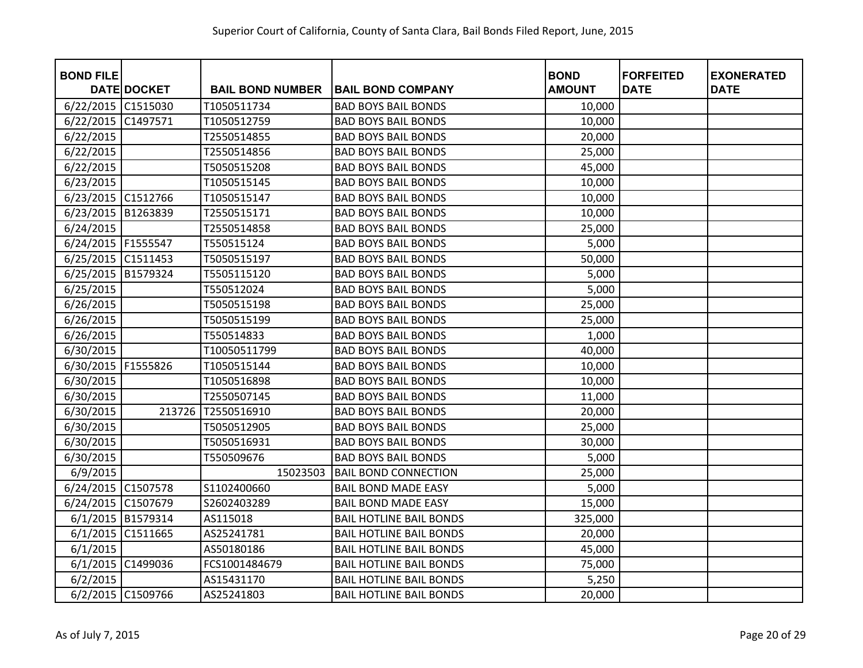| <b>BOND FILE</b>     |                    |                         |                                | <b>BOND</b>   | <b>FORFEITED</b> | <b>EXONERATED</b> |
|----------------------|--------------------|-------------------------|--------------------------------|---------------|------------------|-------------------|
|                      | <b>DATE DOCKET</b> | <b>BAIL BOND NUMBER</b> | <b>BAIL BOND COMPANY</b>       | <b>AMOUNT</b> | <b>DATE</b>      | <b>DATE</b>       |
| 6/22/2015            | C1515030           | T1050511734             | <b>BAD BOYS BAIL BONDS</b>     | 10,000        |                  |                   |
| 6/22/2015            | C1497571           | T1050512759             | <b>BAD BOYS BAIL BONDS</b>     | 10,000        |                  |                   |
| 6/22/2015            |                    | T2550514855             | <b>BAD BOYS BAIL BONDS</b>     | 20,000        |                  |                   |
| 6/22/2015            |                    | T2550514856             | <b>BAD BOYS BAIL BONDS</b>     | 25,000        |                  |                   |
| 6/22/2015            |                    | T5050515208             | <b>BAD BOYS BAIL BONDS</b>     | 45,000        |                  |                   |
| 6/23/2015            |                    | T1050515145             | <b>BAD BOYS BAIL BONDS</b>     | 10,000        |                  |                   |
| 6/23/2015            | C1512766           | T1050515147             | <b>BAD BOYS BAIL BONDS</b>     | 10,000        |                  |                   |
| 6/23/2015            | B1263839           | T2550515171             | <b>BAD BOYS BAIL BONDS</b>     | 10,000        |                  |                   |
| 6/24/2015            |                    | T2550514858             | <b>BAD BOYS BAIL BONDS</b>     | 25,000        |                  |                   |
| 6/24/2015   F1555547 |                    | T550515124              | <b>BAD BOYS BAIL BONDS</b>     | 5,000         |                  |                   |
| 6/25/2015 C1511453   |                    | T5050515197             | <b>BAD BOYS BAIL BONDS</b>     | 50,000        |                  |                   |
| 6/25/2015            | B1579324           | T5505115120             | <b>BAD BOYS BAIL BONDS</b>     | 5,000         |                  |                   |
| 6/25/2015            |                    | T550512024              | <b>BAD BOYS BAIL BONDS</b>     | 5,000         |                  |                   |
| 6/26/2015            |                    | T5050515198             | <b>BAD BOYS BAIL BONDS</b>     | 25,000        |                  |                   |
| 6/26/2015            |                    | T5050515199             | <b>BAD BOYS BAIL BONDS</b>     | 25,000        |                  |                   |
| 6/26/2015            |                    | T550514833              | <b>BAD BOYS BAIL BONDS</b>     | 1,000         |                  |                   |
| 6/30/2015            |                    | T10050511799            | <b>BAD BOYS BAIL BONDS</b>     | 40,000        |                  |                   |
| 6/30/2015            | F1555826           | T1050515144             | <b>BAD BOYS BAIL BONDS</b>     | 10,000        |                  |                   |
| 6/30/2015            |                    | T1050516898             | <b>BAD BOYS BAIL BONDS</b>     | 10,000        |                  |                   |
| 6/30/2015            |                    | T2550507145             | <b>BAD BOYS BAIL BONDS</b>     | 11,000        |                  |                   |
| 6/30/2015            | 213726             | T2550516910             | <b>BAD BOYS BAIL BONDS</b>     | 20,000        |                  |                   |
| 6/30/2015            |                    | T5050512905             | <b>BAD BOYS BAIL BONDS</b>     | 25,000        |                  |                   |
| 6/30/2015            |                    | T5050516931             | <b>BAD BOYS BAIL BONDS</b>     | 30,000        |                  |                   |
| 6/30/2015            |                    | T550509676              | <b>BAD BOYS BAIL BONDS</b>     | 5,000         |                  |                   |
| 6/9/2015             |                    | 15023503                | <b>BAIL BOND CONNECTION</b>    | 25,000        |                  |                   |
| 6/24/2015 C1507578   |                    | S1102400660             | <b>BAIL BOND MADE EASY</b>     | 5,000         |                  |                   |
| 6/24/2015 C1507679   |                    | S2602403289             | <b>BAIL BOND MADE EASY</b>     | 15,000        |                  |                   |
| 6/1/2015 B1579314    |                    | AS115018                | <b>BAIL HOTLINE BAIL BONDS</b> | 325,000       |                  |                   |
| 6/1/2015             | C1511665           | AS25241781              | <b>BAIL HOTLINE BAIL BONDS</b> | 20,000        |                  |                   |
| 6/1/2015             |                    | AS50180186              | <b>BAIL HOTLINE BAIL BONDS</b> | 45,000        |                  |                   |
| 6/1/2015 C1499036    |                    | FCS1001484679           | <b>BAIL HOTLINE BAIL BONDS</b> | 75,000        |                  |                   |
| 6/2/2015             |                    | AS15431170              | <b>BAIL HOTLINE BAIL BONDS</b> | 5,250         |                  |                   |
|                      | 6/2/2015 C1509766  | AS25241803              | <b>BAIL HOTLINE BAIL BONDS</b> | 20,000        |                  |                   |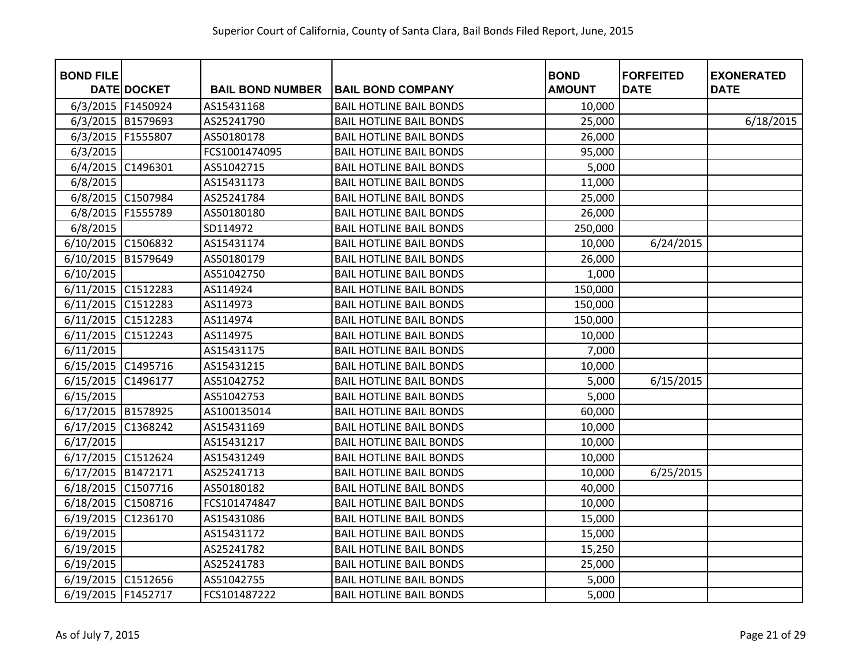| <b>BOND FILE</b>     | <b>DATE DOCKET</b> | <b>BAIL BOND NUMBER</b> | <b>BAIL BOND COMPANY</b>       | <b>BOND</b><br><b>AMOUNT</b> | <b>FORFEITED</b><br><b>DATE</b> | <b>EXONERATED</b><br><b>DATE</b> |
|----------------------|--------------------|-------------------------|--------------------------------|------------------------------|---------------------------------|----------------------------------|
| 6/3/2015 F1450924    |                    | AS15431168              | <b>BAIL HOTLINE BAIL BONDS</b> | 10,000                       |                                 |                                  |
| 6/3/2015 B1579693    |                    | AS25241790              | <b>BAIL HOTLINE BAIL BONDS</b> | 25,000                       |                                 | 6/18/2015                        |
| 6/3/2015             | F1555807           | AS50180178              | <b>BAIL HOTLINE BAIL BONDS</b> | 26,000                       |                                 |                                  |
| 6/3/2015             |                    | FCS1001474095           | <b>BAIL HOTLINE BAIL BONDS</b> | 95,000                       |                                 |                                  |
| 6/4/2015 C1496301    |                    | AS51042715              | <b>BAIL HOTLINE BAIL BONDS</b> | 5,000                        |                                 |                                  |
| 6/8/2015             |                    | AS15431173              | <b>BAIL HOTLINE BAIL BONDS</b> | 11,000                       |                                 |                                  |
|                      | 6/8/2015 C1507984  | AS25241784              | <b>BAIL HOTLINE BAIL BONDS</b> | 25,000                       |                                 |                                  |
| 6/8/2015             | F1555789           | AS50180180              | <b>BAIL HOTLINE BAIL BONDS</b> | 26,000                       |                                 |                                  |
| 6/8/2015             |                    | SD114972                | <b>BAIL HOTLINE BAIL BONDS</b> | 250,000                      |                                 |                                  |
| 6/10/2015 C1506832   |                    | AS15431174              | <b>BAIL HOTLINE BAIL BONDS</b> | 10,000                       | 6/24/2015                       |                                  |
| 6/10/2015            | B1579649           | AS50180179              | <b>BAIL HOTLINE BAIL BONDS</b> | 26,000                       |                                 |                                  |
| 6/10/2015            |                    | AS51042750              | <b>BAIL HOTLINE BAIL BONDS</b> | 1,000                        |                                 |                                  |
| 6/11/2015 C1512283   |                    | AS114924                | <b>BAIL HOTLINE BAIL BONDS</b> | 150,000                      |                                 |                                  |
| 6/11/2015            | C1512283           | AS114973                | <b>BAIL HOTLINE BAIL BONDS</b> | 150,000                      |                                 |                                  |
| 6/11/2015 C1512283   |                    | AS114974                | <b>BAIL HOTLINE BAIL BONDS</b> | 150,000                      |                                 |                                  |
| 6/11/2015            | C1512243           | AS114975                | <b>BAIL HOTLINE BAIL BONDS</b> | 10,000                       |                                 |                                  |
| 6/11/2015            |                    | AS15431175              | <b>BAIL HOTLINE BAIL BONDS</b> | 7,000                        |                                 |                                  |
| 6/15/2015 C1495716   |                    | AS15431215              | <b>BAIL HOTLINE BAIL BONDS</b> | 10,000                       |                                 |                                  |
| 6/15/2015            | C1496177           | AS51042752              | <b>BAIL HOTLINE BAIL BONDS</b> | 5,000                        | 6/15/2015                       |                                  |
| 6/15/2015            |                    | AS51042753              | <b>BAIL HOTLINE BAIL BONDS</b> | 5,000                        |                                 |                                  |
| 6/17/2015 B1578925   |                    | AS100135014             | <b>BAIL HOTLINE BAIL BONDS</b> | 60,000                       |                                 |                                  |
| 6/17/2015            | C1368242           | AS15431169              | <b>BAIL HOTLINE BAIL BONDS</b> | 10,000                       |                                 |                                  |
| 6/17/2015            |                    | AS15431217              | <b>BAIL HOTLINE BAIL BONDS</b> | 10,000                       |                                 |                                  |
| 6/17/2015 C1512624   |                    | AS15431249              | <b>BAIL HOTLINE BAIL BONDS</b> | 10,000                       |                                 |                                  |
| 6/17/2015 B1472171   |                    | AS25241713              | <b>BAIL HOTLINE BAIL BONDS</b> | 10,000                       | 6/25/2015                       |                                  |
| 6/18/2015 C1507716   |                    | AS50180182              | <b>BAIL HOTLINE BAIL BONDS</b> | 40,000                       |                                 |                                  |
| 6/18/2015 C1508716   |                    | FCS101474847            | <b>BAIL HOTLINE BAIL BONDS</b> | 10,000                       |                                 |                                  |
| 6/19/2015            | C1236170           | AS15431086              | <b>BAIL HOTLINE BAIL BONDS</b> | 15,000                       |                                 |                                  |
| 6/19/2015            |                    | AS15431172              | <b>BAIL HOTLINE BAIL BONDS</b> | 15,000                       |                                 |                                  |
| 6/19/2015            |                    | AS25241782              | <b>BAIL HOTLINE BAIL BONDS</b> | 15,250                       |                                 |                                  |
| 6/19/2015            |                    | AS25241783              | <b>BAIL HOTLINE BAIL BONDS</b> | 25,000                       |                                 |                                  |
| 6/19/2015 C1512656   |                    | AS51042755              | <b>BAIL HOTLINE BAIL BONDS</b> | 5,000                        |                                 |                                  |
| 6/19/2015   F1452717 |                    | FCS101487222            | <b>BAIL HOTLINE BAIL BONDS</b> | 5,000                        |                                 |                                  |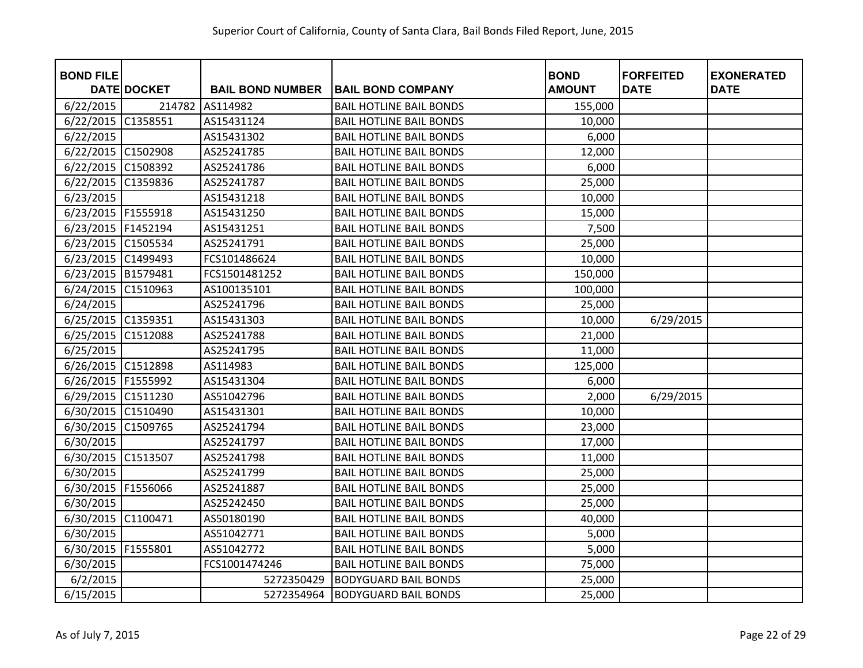| <b>BOND FILE</b>     | <b>DATE DOCKET</b> | <b>BAIL BOND NUMBER</b> | <b>BAIL BOND COMPANY</b>       | <b>BOND</b><br><b>AMOUNT</b> | <b>FORFEITED</b><br><b>DATE</b> | <b>EXONERATED</b><br><b>DATE</b> |
|----------------------|--------------------|-------------------------|--------------------------------|------------------------------|---------------------------------|----------------------------------|
| 6/22/2015            | 214782             | AS114982                | <b>BAIL HOTLINE BAIL BONDS</b> | 155,000                      |                                 |                                  |
| 6/22/2015            | C1358551           | AS15431124              | <b>BAIL HOTLINE BAIL BONDS</b> | 10,000                       |                                 |                                  |
| 6/22/2015            |                    | AS15431302              | <b>BAIL HOTLINE BAIL BONDS</b> | 6,000                        |                                 |                                  |
| 6/22/2015 C1502908   |                    | AS25241785              | <b>BAIL HOTLINE BAIL BONDS</b> | 12,000                       |                                 |                                  |
| 6/22/2015            | C1508392           | AS25241786              | <b>BAIL HOTLINE BAIL BONDS</b> | 6,000                        |                                 |                                  |
| 6/22/2015            | C1359836           | AS25241787              | <b>BAIL HOTLINE BAIL BONDS</b> | 25,000                       |                                 |                                  |
| 6/23/2015            |                    | AS15431218              | <b>BAIL HOTLINE BAIL BONDS</b> | 10,000                       |                                 |                                  |
| 6/23/2015            | F1555918           | AS15431250              | <b>BAIL HOTLINE BAIL BONDS</b> | 15,000                       |                                 |                                  |
| 6/23/2015   F1452194 |                    | AS15431251              | <b>BAIL HOTLINE BAIL BONDS</b> | 7,500                        |                                 |                                  |
| 6/23/2015 C1505534   |                    | AS25241791              | <b>BAIL HOTLINE BAIL BONDS</b> | 25,000                       |                                 |                                  |
| 6/23/2015 C1499493   |                    | FCS101486624            | <b>BAIL HOTLINE BAIL BONDS</b> | 10,000                       |                                 |                                  |
| 6/23/2015 B1579481   |                    | FCS1501481252           | <b>BAIL HOTLINE BAIL BONDS</b> | 150,000                      |                                 |                                  |
| 6/24/2015            | C1510963           | AS100135101             | <b>BAIL HOTLINE BAIL BONDS</b> | 100,000                      |                                 |                                  |
| 6/24/2015            |                    | AS25241796              | <b>BAIL HOTLINE BAIL BONDS</b> | 25,000                       |                                 |                                  |
| 6/25/2015 C1359351   |                    | AS15431303              | <b>BAIL HOTLINE BAIL BONDS</b> | 10,000                       | 6/29/2015                       |                                  |
| 6/25/2015            | C1512088           | AS25241788              | <b>BAIL HOTLINE BAIL BONDS</b> | 21,000                       |                                 |                                  |
| 6/25/2015            |                    | AS25241795              | <b>BAIL HOTLINE BAIL BONDS</b> | 11,000                       |                                 |                                  |
| 6/26/2015 C1512898   |                    | AS114983                | <b>BAIL HOTLINE BAIL BONDS</b> | 125,000                      |                                 |                                  |
| 6/26/2015            | F1555992           | AS15431304              | <b>BAIL HOTLINE BAIL BONDS</b> | 6,000                        |                                 |                                  |
| 6/29/2015            | C1511230           | AS51042796              | <b>BAIL HOTLINE BAIL BONDS</b> | 2,000                        | 6/29/2015                       |                                  |
| 6/30/2015 C1510490   |                    | AS15431301              | <b>BAIL HOTLINE BAIL BONDS</b> | 10,000                       |                                 |                                  |
| 6/30/2015            | C1509765           | AS25241794              | <b>BAIL HOTLINE BAIL BONDS</b> | 23,000                       |                                 |                                  |
| 6/30/2015            |                    | AS25241797              | <b>BAIL HOTLINE BAIL BONDS</b> | 17,000                       |                                 |                                  |
| 6/30/2015            | C1513507           | AS25241798              | <b>BAIL HOTLINE BAIL BONDS</b> | 11,000                       |                                 |                                  |
| 6/30/2015            |                    | AS25241799              | <b>BAIL HOTLINE BAIL BONDS</b> | 25,000                       |                                 |                                  |
| 6/30/2015            | F1556066           | AS25241887              | <b>BAIL HOTLINE BAIL BONDS</b> | 25,000                       |                                 |                                  |
| 6/30/2015            |                    | AS25242450              | <b>BAIL HOTLINE BAIL BONDS</b> | 25,000                       |                                 |                                  |
| 6/30/2015            | C1100471           | AS50180190              | <b>BAIL HOTLINE BAIL BONDS</b> | 40,000                       |                                 |                                  |
| 6/30/2015            |                    | AS51042771              | <b>BAIL HOTLINE BAIL BONDS</b> | 5,000                        |                                 |                                  |
| 6/30/2015            | F1555801           | AS51042772              | <b>BAIL HOTLINE BAIL BONDS</b> | 5,000                        |                                 |                                  |
| 6/30/2015            |                    | FCS1001474246           | <b>BAIL HOTLINE BAIL BONDS</b> | 75,000                       |                                 |                                  |
| 6/2/2015             |                    | 5272350429              | <b>BODYGUARD BAIL BONDS</b>    | 25,000                       |                                 |                                  |
| 6/15/2015            |                    | 5272354964              | <b>BODYGUARD BAIL BONDS</b>    | 25,000                       |                                 |                                  |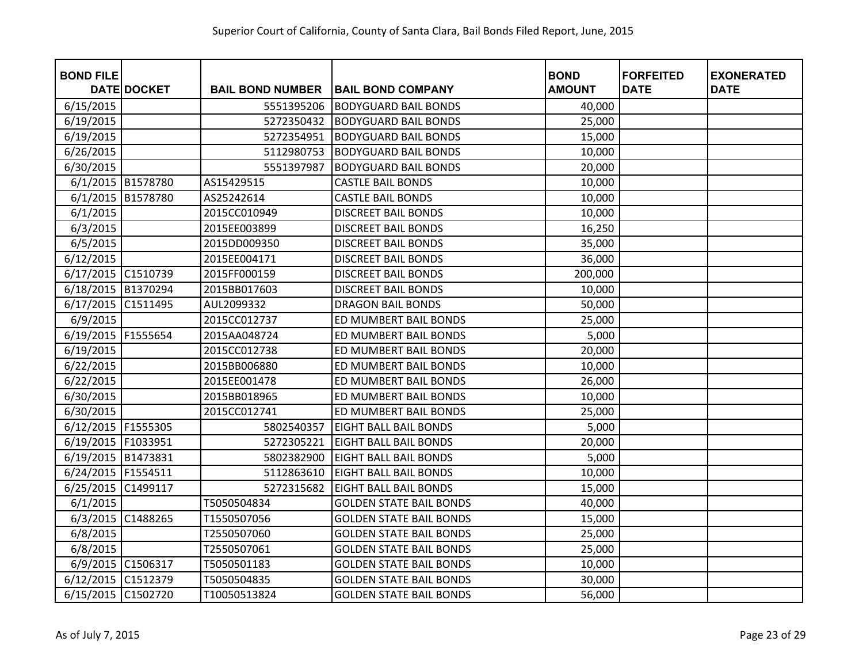| <b>BOND FILE</b>     | <b>DATE DOCKET</b> | <b>BAIL BOND NUMBER</b> | <b>BAIL BOND COMPANY</b>       | <b>BOND</b><br><b>AMOUNT</b> | <b>FORFEITED</b><br><b>DATE</b> | <b>EXONERATED</b><br><b>DATE</b> |
|----------------------|--------------------|-------------------------|--------------------------------|------------------------------|---------------------------------|----------------------------------|
| 6/15/2015            |                    | 5551395206              | <b>BODYGUARD BAIL BONDS</b>    | 40,000                       |                                 |                                  |
| 6/19/2015            |                    | 5272350432              | <b>BODYGUARD BAIL BONDS</b>    | 25,000                       |                                 |                                  |
| 6/19/2015            |                    | 5272354951              | <b>BODYGUARD BAIL BONDS</b>    | 15,000                       |                                 |                                  |
| 6/26/2015            |                    | 5112980753              | <b>BODYGUARD BAIL BONDS</b>    | 10,000                       |                                 |                                  |
| 6/30/2015            |                    | 5551397987              | <b>BODYGUARD BAIL BONDS</b>    | 20,000                       |                                 |                                  |
| 6/1/2015 B1578780    |                    | AS15429515              | <b>CASTLE BAIL BONDS</b>       | 10,000                       |                                 |                                  |
| 6/1/2015             | B1578780           | AS25242614              | <b>CASTLE BAIL BONDS</b>       | 10,000                       |                                 |                                  |
| 6/1/2015             |                    | 2015CC010949            | <b>DISCREET BAIL BONDS</b>     | 10,000                       |                                 |                                  |
| 6/3/2015             |                    | 2015EE003899            | <b>DISCREET BAIL BONDS</b>     | 16,250                       |                                 |                                  |
| 6/5/2015             |                    | 2015DD009350            | <b>DISCREET BAIL BONDS</b>     | 35,000                       |                                 |                                  |
| 6/12/2015            |                    | 2015EE004171            | <b>DISCREET BAIL BONDS</b>     | 36,000                       |                                 |                                  |
| 6/17/2015 C1510739   |                    | 2015FF000159            | <b>DISCREET BAIL BONDS</b>     | 200,000                      |                                 |                                  |
| 6/18/2015 B1370294   |                    | 2015BB017603            | <b>DISCREET BAIL BONDS</b>     | 10,000                       |                                 |                                  |
| 6/17/2015            | C1511495           | AUL2099332              | <b>DRAGON BAIL BONDS</b>       | 50,000                       |                                 |                                  |
| 6/9/2015             |                    | 2015CC012737            | ED MUMBERT BAIL BONDS          | 25,000                       |                                 |                                  |
| 6/19/2015 F1555654   |                    | 2015AA048724            | ED MUMBERT BAIL BONDS          | 5,000                        |                                 |                                  |
| 6/19/2015            |                    | 2015CC012738            | ED MUMBERT BAIL BONDS          | 20,000                       |                                 |                                  |
| 6/22/2015            |                    | 2015BB006880            | ED MUMBERT BAIL BONDS          | 10,000                       |                                 |                                  |
| 6/22/2015            |                    | 2015EE001478            | ED MUMBERT BAIL BONDS          | 26,000                       |                                 |                                  |
| 6/30/2015            |                    | 2015BB018965            | ED MUMBERT BAIL BONDS          | 10,000                       |                                 |                                  |
| 6/30/2015            |                    | 2015CC012741            | ED MUMBERT BAIL BONDS          | 25,000                       |                                 |                                  |
| 6/12/2015 F1555305   |                    | 5802540357              | <b>EIGHT BALL BAIL BONDS</b>   | 5,000                        |                                 |                                  |
| 6/19/2015   F1033951 |                    | 5272305221              | <b>EIGHT BALL BAIL BONDS</b>   | 20,000                       |                                 |                                  |
| 6/19/2015 B1473831   |                    | 5802382900              | <b>EIGHT BALL BAIL BONDS</b>   | 5,000                        |                                 |                                  |
| 6/24/2015   F1554511 |                    | 5112863610              | <b>EIGHT BALL BAIL BONDS</b>   | 10,000                       |                                 |                                  |
| 6/25/2015            | C1499117           | 5272315682              | <b>EIGHT BALL BAIL BONDS</b>   | 15,000                       |                                 |                                  |
| 6/1/2015             |                    | T5050504834             | <b>GOLDEN STATE BAIL BONDS</b> | 40,000                       |                                 |                                  |
| 6/3/2015             | C1488265           | T1550507056             | <b>GOLDEN STATE BAIL BONDS</b> | 15,000                       |                                 |                                  |
| 6/8/2015             |                    | T2550507060             | <b>GOLDEN STATE BAIL BONDS</b> | 25,000                       |                                 |                                  |
| 6/8/2015             |                    | T2550507061             | <b>GOLDEN STATE BAIL BONDS</b> | 25,000                       |                                 |                                  |
| 6/9/2015 C1506317    |                    | T5050501183             | <b>GOLDEN STATE BAIL BONDS</b> | 10,000                       |                                 |                                  |
| 6/12/2015 C1512379   |                    | T5050504835             | <b>GOLDEN STATE BAIL BONDS</b> | 30,000                       |                                 |                                  |
| 6/15/2015 C1502720   |                    | T10050513824            | <b>GOLDEN STATE BAIL BONDS</b> | 56,000                       |                                 |                                  |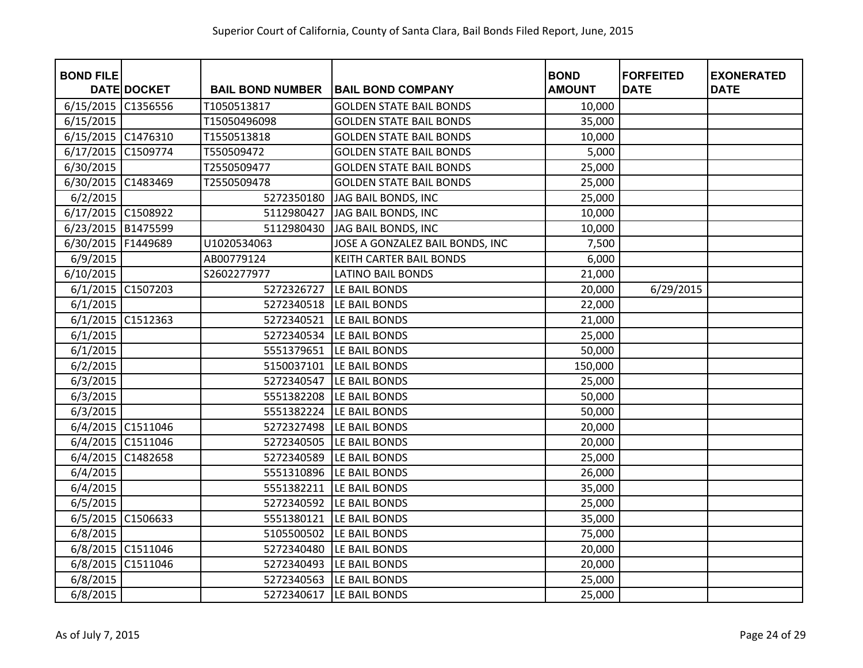| <b>BOND FILE</b>     |                   |                         |                                 | <b>BOND</b>   | <b>FORFEITED</b> | <b>EXONERATED</b> |
|----------------------|-------------------|-------------------------|---------------------------------|---------------|------------------|-------------------|
|                      | DATE DOCKET       | <b>BAIL BOND NUMBER</b> | <b>BAIL BOND COMPANY</b>        | <b>AMOUNT</b> | <b>DATE</b>      | <b>DATE</b>       |
| 6/15/2015            | C1356556          | T1050513817             | <b>GOLDEN STATE BAIL BONDS</b>  | 10,000        |                  |                   |
| 6/15/2015            |                   | T15050496098            | <b>GOLDEN STATE BAIL BONDS</b>  | 35,000        |                  |                   |
| 6/15/2015 C1476310   |                   | T1550513818             | <b>GOLDEN STATE BAIL BONDS</b>  | 10,000        |                  |                   |
| 6/17/2015 C1509774   |                   | T550509472              | <b>GOLDEN STATE BAIL BONDS</b>  | 5,000         |                  |                   |
| 6/30/2015            |                   | T2550509477             | <b>GOLDEN STATE BAIL BONDS</b>  | 25,000        |                  |                   |
| 6/30/2015 C1483469   |                   | T2550509478             | <b>GOLDEN STATE BAIL BONDS</b>  | 25,000        |                  |                   |
| 6/2/2015             |                   | 5272350180              | JAG BAIL BONDS, INC             | 25,000        |                  |                   |
| 6/17/2015 C1508922   |                   | 5112980427              | JAG BAIL BONDS, INC             | 10,000        |                  |                   |
| 6/23/2015 B1475599   |                   | 5112980430              | JAG BAIL BONDS, INC             | 10,000        |                  |                   |
| 6/30/2015   F1449689 |                   | U1020534063             | JOSE A GONZALEZ BAIL BONDS, INC | 7,500         |                  |                   |
| 6/9/2015             |                   | AB00779124              | KEITH CARTER BAIL BONDS         | 6,000         |                  |                   |
| 6/10/2015            |                   | S2602277977             | <b>LATINO BAIL BONDS</b>        | 21,000        |                  |                   |
| 6/1/2015 C1507203    |                   | 5272326727              | LE BAIL BONDS                   | 20,000        | 6/29/2015        |                   |
| 6/1/2015             |                   | 5272340518              | LE BAIL BONDS                   | 22,000        |                  |                   |
| 6/1/2015 C1512363    |                   | 5272340521              | LE BAIL BONDS                   | 21,000        |                  |                   |
| 6/1/2015             |                   | 5272340534              | LE BAIL BONDS                   | 25,000        |                  |                   |
| 6/1/2015             |                   | 5551379651              | LE BAIL BONDS                   | 50,000        |                  |                   |
| 6/2/2015             |                   | 5150037101              | LE BAIL BONDS                   | 150,000       |                  |                   |
| 6/3/2015             |                   | 5272340547              | LE BAIL BONDS                   | 25,000        |                  |                   |
| 6/3/2015             |                   | 5551382208              | LE BAIL BONDS                   | 50,000        |                  |                   |
| 6/3/2015             |                   | 5551382224              | LE BAIL BONDS                   | 50,000        |                  |                   |
|                      | 6/4/2015 C1511046 | 5272327498              | LE BAIL BONDS                   | 20,000        |                  |                   |
|                      | 6/4/2015 C1511046 | 5272340505              | LE BAIL BONDS                   | 20,000        |                  |                   |
|                      | 6/4/2015 C1482658 | 5272340589              | LE BAIL BONDS                   | 25,000        |                  |                   |
| 6/4/2015             |                   | 5551310896              | LE BAIL BONDS                   | 26,000        |                  |                   |
| 6/4/2015             |                   | 5551382211              | LE BAIL BONDS                   | 35,000        |                  |                   |
| 6/5/2015             |                   | 5272340592              | LE BAIL BONDS                   | 25,000        |                  |                   |
| 6/5/2015 C1506633    |                   | 5551380121              | LE BAIL BONDS                   | 35,000        |                  |                   |
| 6/8/2015             |                   | 5105500502              | LE BAIL BONDS                   | 75,000        |                  |                   |
|                      | 6/8/2015 C1511046 | 5272340480              | LE BAIL BONDS                   | 20,000        |                  |                   |
|                      | 6/8/2015 C1511046 | 5272340493              | LE BAIL BONDS                   | 20,000        |                  |                   |
| 6/8/2015             |                   | 5272340563              | LE BAIL BONDS                   | 25,000        |                  |                   |
| 6/8/2015             |                   | 5272340617              | LE BAIL BONDS                   | 25,000        |                  |                   |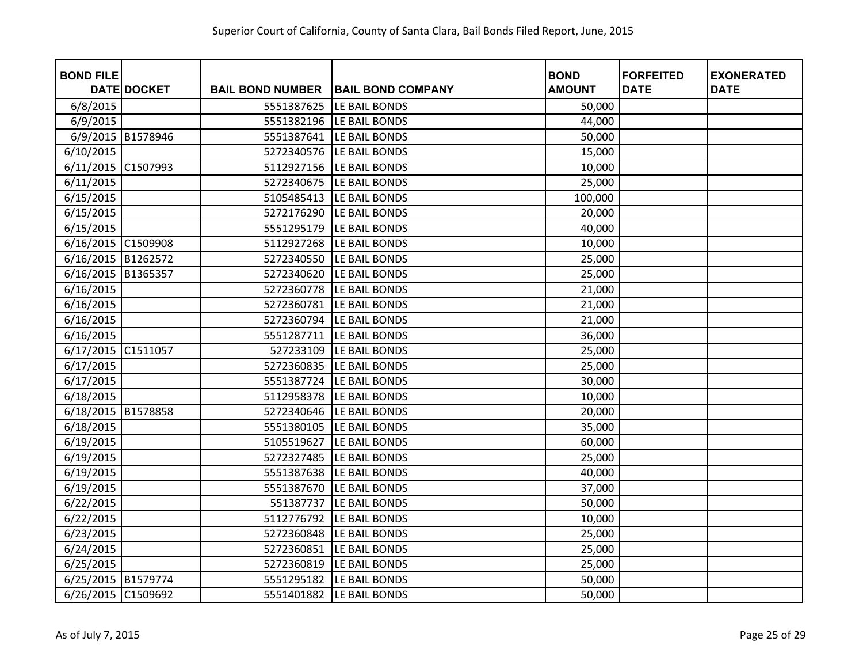| <b>BOND FILE</b>   |                   |                         |                          | <b>BOND</b>   | <b>FORFEITED</b> | <b>EXONERATED</b> |
|--------------------|-------------------|-------------------------|--------------------------|---------------|------------------|-------------------|
|                    | DATE DOCKET       | <b>BAIL BOND NUMBER</b> | <b>BAIL BOND COMPANY</b> | <b>AMOUNT</b> | <b>DATE</b>      | <b>DATE</b>       |
| 6/8/2015           |                   | 5551387625              | LE BAIL BONDS            | 50,000        |                  |                   |
| 6/9/2015           |                   | 5551382196              | LE BAIL BONDS            | 44,000        |                  |                   |
|                    | 6/9/2015 B1578946 | 5551387641              | LE BAIL BONDS            | 50,000        |                  |                   |
| 6/10/2015          |                   | 5272340576              | LE BAIL BONDS            | 15,000        |                  |                   |
| 6/11/2015          | C1507993          | 5112927156              | LE BAIL BONDS            | 10,000        |                  |                   |
| 6/11/2015          |                   | 5272340675              | LE BAIL BONDS            | 25,000        |                  |                   |
| 6/15/2015          |                   | 5105485413              | LE BAIL BONDS            | 100,000       |                  |                   |
| 6/15/2015          |                   | 5272176290              | LE BAIL BONDS            | 20,000        |                  |                   |
| 6/15/2015          |                   | 5551295179              | LE BAIL BONDS            | 40,000        |                  |                   |
| 6/16/2015 C1509908 |                   | 5112927268              | LE BAIL BONDS            | 10,000        |                  |                   |
| 6/16/2015 B1262572 |                   | 5272340550              | LE BAIL BONDS            | 25,000        |                  |                   |
| 6/16/2015 B1365357 |                   | 5272340620              | LE BAIL BONDS            | 25,000        |                  |                   |
| 6/16/2015          |                   | 5272360778              | LE BAIL BONDS            | 21,000        |                  |                   |
| 6/16/2015          |                   | 5272360781              | LE BAIL BONDS            | 21,000        |                  |                   |
| 6/16/2015          |                   | 5272360794              | LE BAIL BONDS            | 21,000        |                  |                   |
| 6/16/2015          |                   | 5551287711              | LE BAIL BONDS            | 36,000        |                  |                   |
| 6/17/2015          | C1511057          | 527233109               | LE BAIL BONDS            | 25,000        |                  |                   |
| 6/17/2015          |                   | 5272360835              | LE BAIL BONDS            | 25,000        |                  |                   |
| 6/17/2015          |                   | 5551387724              | LE BAIL BONDS            | 30,000        |                  |                   |
| 6/18/2015          |                   | 5112958378              | LE BAIL BONDS            | 10,000        |                  |                   |
| 6/18/2015          | B1578858          | 5272340646              | LE BAIL BONDS            | 20,000        |                  |                   |
| 6/18/2015          |                   | 5551380105              | LE BAIL BONDS            | 35,000        |                  |                   |
| 6/19/2015          |                   | 5105519627              | LE BAIL BONDS            | 60,000        |                  |                   |
| 6/19/2015          |                   | 5272327485              | LE BAIL BONDS            | 25,000        |                  |                   |
| 6/19/2015          |                   | 5551387638              | LE BAIL BONDS            | 40,000        |                  |                   |
| 6/19/2015          |                   | 5551387670              | LE BAIL BONDS            | 37,000        |                  |                   |
| 6/22/2015          |                   | 551387737               | LE BAIL BONDS            | 50,000        |                  |                   |
| 6/22/2015          |                   | 5112776792              | LE BAIL BONDS            | 10,000        |                  |                   |
| 6/23/2015          |                   | 5272360848              | LE BAIL BONDS            | 25,000        |                  |                   |
| 6/24/2015          |                   | 5272360851              | LE BAIL BONDS            | 25,000        |                  |                   |
| 6/25/2015          |                   | 5272360819              | LE BAIL BONDS            | 25,000        |                  |                   |
| 6/25/2015 B1579774 |                   | 5551295182              | LE BAIL BONDS            | 50,000        |                  |                   |
| 6/26/2015 C1509692 |                   | 5551401882              | LE BAIL BONDS            | 50,000        |                  |                   |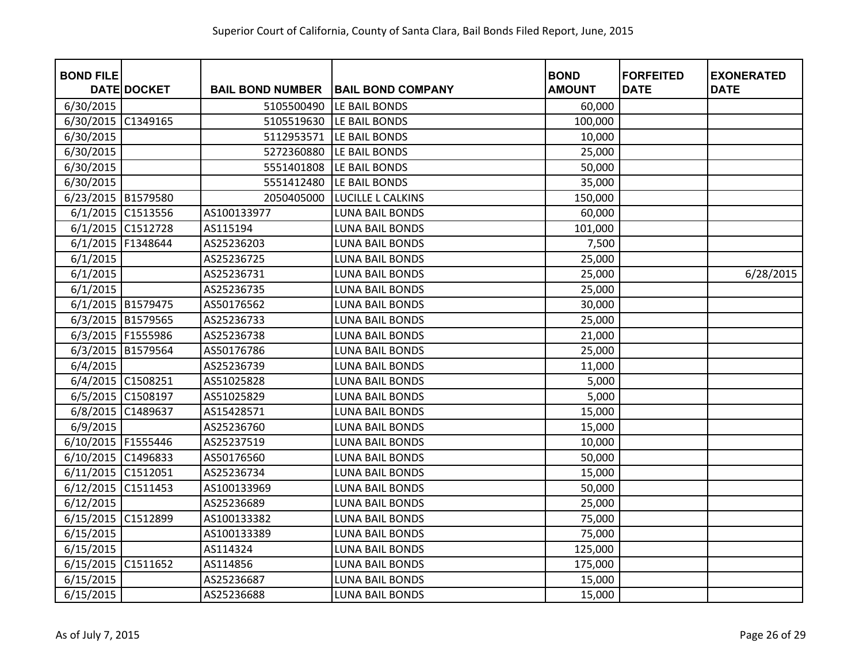| <b>BOND FILE</b>     | <b>DATE DOCKET</b> | <b>BAIL BOND NUMBER</b> | <b>BAIL BOND COMPANY</b> | <b>BOND</b><br><b>AMOUNT</b> | <b>FORFEITED</b><br><b>DATE</b> | <b>EXONERATED</b><br><b>DATE</b> |
|----------------------|--------------------|-------------------------|--------------------------|------------------------------|---------------------------------|----------------------------------|
| 6/30/2015            |                    | 5105500490              | LE BAIL BONDS            | 60,000                       |                                 |                                  |
| 6/30/2015            | C1349165           | 5105519630              | LE BAIL BONDS            | 100,000                      |                                 |                                  |
| 6/30/2015            |                    | 5112953571              | LE BAIL BONDS            | 10,000                       |                                 |                                  |
| 6/30/2015            |                    | 5272360880              | LE BAIL BONDS            | 25,000                       |                                 |                                  |
| 6/30/2015            |                    | 5551401808              | LE BAIL BONDS            | 50,000                       |                                 |                                  |
| 6/30/2015            |                    | 5551412480              | LE BAIL BONDS            | 35,000                       |                                 |                                  |
| 6/23/2015 B1579580   |                    | 2050405000              | LUCILLE L CALKINS        | 150,000                      |                                 |                                  |
| 6/1/2015             | C1513556           | AS100133977             | <b>LUNA BAIL BONDS</b>   | 60,000                       |                                 |                                  |
| 6/1/2015             | C1512728           | AS115194                | <b>LUNA BAIL BONDS</b>   | 101,000                      |                                 |                                  |
| 6/1/2015             | F1348644           | AS25236203              | <b>LUNA BAIL BONDS</b>   | 7,500                        |                                 |                                  |
| 6/1/2015             |                    | AS25236725              | <b>LUNA BAIL BONDS</b>   | 25,000                       |                                 |                                  |
| 6/1/2015             |                    | AS25236731              | <b>LUNA BAIL BONDS</b>   | 25,000                       |                                 | 6/28/2015                        |
| 6/1/2015             |                    | AS25236735              | <b>LUNA BAIL BONDS</b>   | 25,000                       |                                 |                                  |
|                      | 6/1/2015 B1579475  | AS50176562              | <b>LUNA BAIL BONDS</b>   | 30,000                       |                                 |                                  |
| 6/3/2015             | B1579565           | AS25236733              | <b>LUNA BAIL BONDS</b>   | 25,000                       |                                 |                                  |
| 6/3/2015 F1555986    |                    | AS25236738              | <b>LUNA BAIL BONDS</b>   | 21,000                       |                                 |                                  |
| 6/3/2015             | B1579564           | AS50176786              | <b>LUNA BAIL BONDS</b>   | 25,000                       |                                 |                                  |
| 6/4/2015             |                    | AS25236739              | <b>LUNA BAIL BONDS</b>   | 11,000                       |                                 |                                  |
| 6/4/2015             | C1508251           | AS51025828              | <b>LUNA BAIL BONDS</b>   | 5,000                        |                                 |                                  |
| 6/5/2015             | C1508197           | AS51025829              | <b>LUNA BAIL BONDS</b>   | 5,000                        |                                 |                                  |
| 6/8/2015             | C1489637           | AS15428571              | <b>LUNA BAIL BONDS</b>   | 15,000                       |                                 |                                  |
| 6/9/2015             |                    | AS25236760              | <b>LUNA BAIL BONDS</b>   | 15,000                       |                                 |                                  |
| 6/10/2015   F1555446 |                    | AS25237519              | <b>LUNA BAIL BONDS</b>   | 10,000                       |                                 |                                  |
| 6/10/2015            | C1496833           | AS50176560              | <b>LUNA BAIL BONDS</b>   | 50,000                       |                                 |                                  |
| 6/11/2015            | C1512051           | AS25236734              | <b>LUNA BAIL BONDS</b>   | 15,000                       |                                 |                                  |
| 6/12/2015            | C1511453           | AS100133969             | <b>LUNA BAIL BONDS</b>   | 50,000                       |                                 |                                  |
| 6/12/2015            |                    | AS25236689              | <b>LUNA BAIL BONDS</b>   | 25,000                       |                                 |                                  |
| 6/15/2015            | C1512899           | AS100133382             | <b>LUNA BAIL BONDS</b>   | 75,000                       |                                 |                                  |
| 6/15/2015            |                    | AS100133389             | <b>LUNA BAIL BONDS</b>   | 75,000                       |                                 |                                  |
| 6/15/2015            |                    | AS114324                | <b>LUNA BAIL BONDS</b>   | 125,000                      |                                 |                                  |
| 6/15/2015            | C1511652           | AS114856                | <b>LUNA BAIL BONDS</b>   | 175,000                      |                                 |                                  |
| 6/15/2015            |                    | AS25236687              | <b>LUNA BAIL BONDS</b>   | 15,000                       |                                 |                                  |
| 6/15/2015            |                    | AS25236688              | <b>LUNA BAIL BONDS</b>   | 15,000                       |                                 |                                  |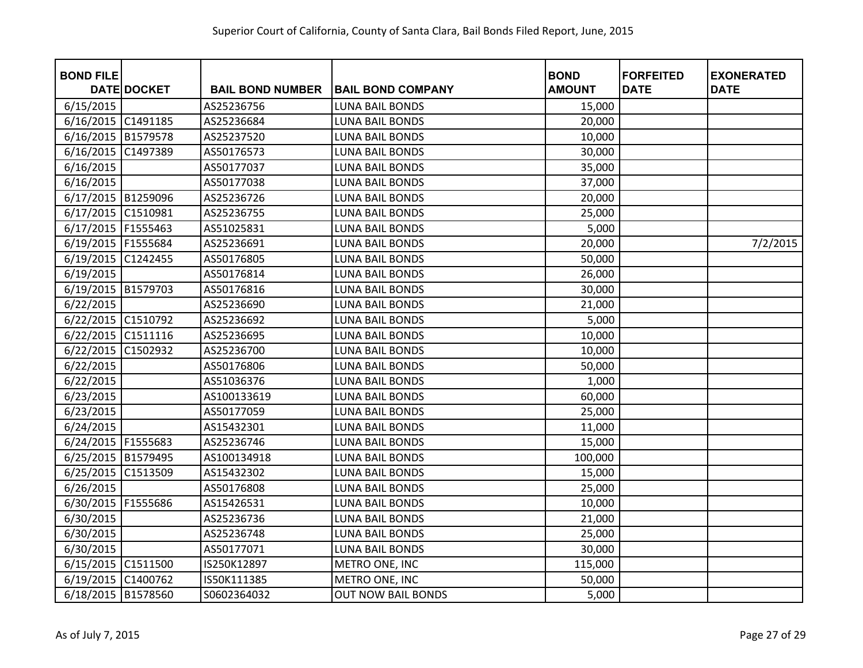| <b>BOND FILE</b>     | <b>DATE DOCKET</b> | <b>BAIL BOND NUMBER</b> | <b>BAIL BOND COMPANY</b>  | <b>BOND</b><br><b>AMOUNT</b> | <b>FORFEITED</b><br><b>DATE</b> | <b>EXONERATED</b><br><b>DATE</b> |
|----------------------|--------------------|-------------------------|---------------------------|------------------------------|---------------------------------|----------------------------------|
| 6/15/2015            |                    | AS25236756              | <b>LUNA BAIL BONDS</b>    | 15,000                       |                                 |                                  |
| 6/16/2015 C1491185   |                    | AS25236684              | <b>LUNA BAIL BONDS</b>    | 20,000                       |                                 |                                  |
| 6/16/2015 B1579578   |                    | AS25237520              | <b>LUNA BAIL BONDS</b>    | 10,000                       |                                 |                                  |
| 6/16/2015 C1497389   |                    | AS50176573              | <b>LUNA BAIL BONDS</b>    | 30,000                       |                                 |                                  |
| 6/16/2015            |                    | AS50177037              | <b>LUNA BAIL BONDS</b>    | 35,000                       |                                 |                                  |
| 6/16/2015            |                    | AS50177038              | <b>LUNA BAIL BONDS</b>    | 37,000                       |                                 |                                  |
| 6/17/2015 B1259096   |                    | AS25236726              | <b>LUNA BAIL BONDS</b>    | 20,000                       |                                 |                                  |
| 6/17/2015            | C1510981           | AS25236755              | <b>LUNA BAIL BONDS</b>    | 25,000                       |                                 |                                  |
| 6/17/2015   F1555463 |                    | AS51025831              | <b>LUNA BAIL BONDS</b>    | 5,000                        |                                 |                                  |
| 6/19/2015 F1555684   |                    | AS25236691              | <b>LUNA BAIL BONDS</b>    | 20,000                       |                                 | 7/2/2015                         |
| 6/19/2015 C1242455   |                    | AS50176805              | <b>LUNA BAIL BONDS</b>    | 50,000                       |                                 |                                  |
| 6/19/2015            |                    | AS50176814              | <b>LUNA BAIL BONDS</b>    | 26,000                       |                                 |                                  |
| 6/19/2015 B1579703   |                    | AS50176816              | <b>LUNA BAIL BONDS</b>    | 30,000                       |                                 |                                  |
| 6/22/2015            |                    | AS25236690              | <b>LUNA BAIL BONDS</b>    | 21,000                       |                                 |                                  |
| 6/22/2015 C1510792   |                    | AS25236692              | <b>LUNA BAIL BONDS</b>    | 5,000                        |                                 |                                  |
| 6/22/2015 C1511116   |                    | AS25236695              | <b>LUNA BAIL BONDS</b>    | 10,000                       |                                 |                                  |
| 6/22/2015            | C1502932           | AS25236700              | LUNA BAIL BONDS           | 10,000                       |                                 |                                  |
| 6/22/2015            |                    | AS50176806              | <b>LUNA BAIL BONDS</b>    | 50,000                       |                                 |                                  |
| 6/22/2015            |                    | AS51036376              | <b>LUNA BAIL BONDS</b>    | 1,000                        |                                 |                                  |
| 6/23/2015            |                    | AS100133619             | <b>LUNA BAIL BONDS</b>    | 60,000                       |                                 |                                  |
| 6/23/2015            |                    | AS50177059              | <b>LUNA BAIL BONDS</b>    | 25,000                       |                                 |                                  |
| 6/24/2015            |                    | AS15432301              | <b>LUNA BAIL BONDS</b>    | 11,000                       |                                 |                                  |
| 6/24/2015 F1555683   |                    | AS25236746              | <b>LUNA BAIL BONDS</b>    | 15,000                       |                                 |                                  |
| 6/25/2015 B1579495   |                    | AS100134918             | <b>LUNA BAIL BONDS</b>    | 100,000                      |                                 |                                  |
| 6/25/2015 C1513509   |                    | AS15432302              | <b>LUNA BAIL BONDS</b>    | 15,000                       |                                 |                                  |
| 6/26/2015            |                    | AS50176808              | <b>LUNA BAIL BONDS</b>    | 25,000                       |                                 |                                  |
| 6/30/2015 F1555686   |                    | AS15426531              | <b>LUNA BAIL BONDS</b>    | 10,000                       |                                 |                                  |
| 6/30/2015            |                    | AS25236736              | <b>LUNA BAIL BONDS</b>    | 21,000                       |                                 |                                  |
| 6/30/2015            |                    | AS25236748              | <b>LUNA BAIL BONDS</b>    | 25,000                       |                                 |                                  |
| 6/30/2015            |                    | AS50177071              | <b>LUNA BAIL BONDS</b>    | 30,000                       |                                 |                                  |
| 6/15/2015 C1511500   |                    | IS250K12897             | METRO ONE, INC            | 115,000                      |                                 |                                  |
| 6/19/2015 C1400762   |                    | IS50K111385             | METRO ONE, INC            | 50,000                       |                                 |                                  |
| 6/18/2015 B1578560   |                    | S0602364032             | <b>OUT NOW BAIL BONDS</b> | 5,000                        |                                 |                                  |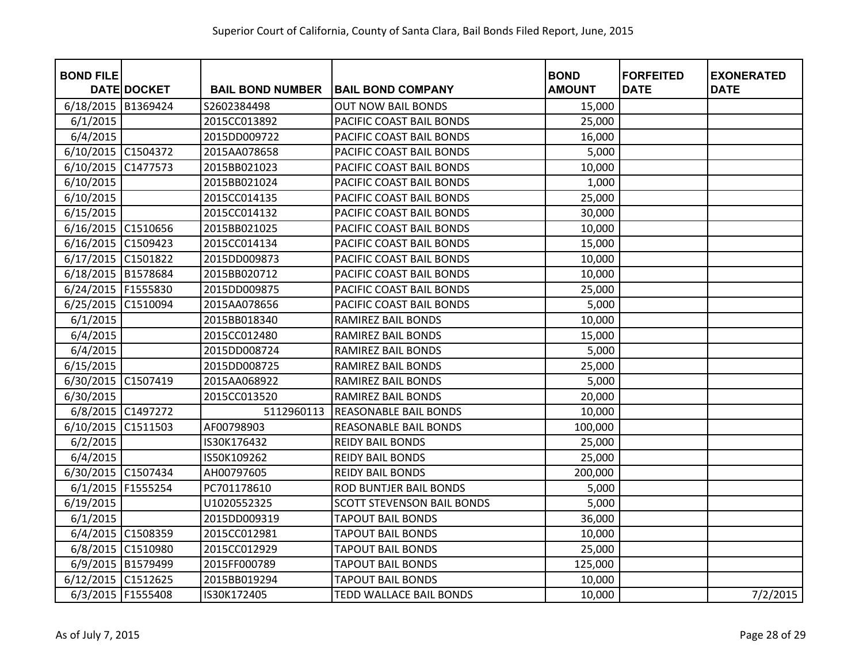| <b>BOND FILE</b>     |                    |                         |                                   | <b>BOND</b>   | <b>FORFEITED</b> | <b>EXONERATED</b> |
|----------------------|--------------------|-------------------------|-----------------------------------|---------------|------------------|-------------------|
|                      | <b>DATE DOCKET</b> | <b>BAIL BOND NUMBER</b> | <b>BAIL BOND COMPANY</b>          | <b>AMOUNT</b> | <b>DATE</b>      | <b>DATE</b>       |
| 6/18/2015            | B1369424           | S2602384498             | <b>OUT NOW BAIL BONDS</b>         | 15,000        |                  |                   |
| 6/1/2015             |                    | 2015CC013892            | PACIFIC COAST BAIL BONDS          | 25,000        |                  |                   |
| 6/4/2015             |                    | 2015DD009722            | PACIFIC COAST BAIL BONDS          | 16,000        |                  |                   |
| 6/10/2015 C1504372   |                    | 2015AA078658            | PACIFIC COAST BAIL BONDS          | 5,000         |                  |                   |
| 6/10/2015            | C1477573           | 2015BB021023            | PACIFIC COAST BAIL BONDS          | 10,000        |                  |                   |
| 6/10/2015            |                    | 2015BB021024            | PACIFIC COAST BAIL BONDS          | 1,000         |                  |                   |
| 6/10/2015            |                    | 2015CC014135            | PACIFIC COAST BAIL BONDS          | 25,000        |                  |                   |
| 6/15/2015            |                    | 2015CC014132            | PACIFIC COAST BAIL BONDS          | 30,000        |                  |                   |
| 6/16/2015 C1510656   |                    | 2015BB021025            | PACIFIC COAST BAIL BONDS          | 10,000        |                  |                   |
| 6/16/2015 C1509423   |                    | 2015CC014134            | PACIFIC COAST BAIL BONDS          | 15,000        |                  |                   |
| 6/17/2015 C1501822   |                    | 2015DD009873            | PACIFIC COAST BAIL BONDS          | 10,000        |                  |                   |
| 6/18/2015 B1578684   |                    | 2015BB020712            | PACIFIC COAST BAIL BONDS          | 10,000        |                  |                   |
| 6/24/2015   F1555830 |                    | 2015DD009875            | PACIFIC COAST BAIL BONDS          | 25,000        |                  |                   |
| 6/25/2015            | C1510094           | 2015AA078656            | PACIFIC COAST BAIL BONDS          | 5,000         |                  |                   |
| 6/1/2015             |                    | 2015BB018340            | RAMIREZ BAIL BONDS                | 10,000        |                  |                   |
| 6/4/2015             |                    | 2015CC012480            | RAMIREZ BAIL BONDS                | 15,000        |                  |                   |
| 6/4/2015             |                    | 2015DD008724            | RAMIREZ BAIL BONDS                | 5,000         |                  |                   |
| 6/15/2015            |                    | 2015DD008725            | RAMIREZ BAIL BONDS                | 25,000        |                  |                   |
| 6/30/2015            | C1507419           | 2015AA068922            | RAMIREZ BAIL BONDS                | 5,000         |                  |                   |
| 6/30/2015            |                    | 2015CC013520            | <b>RAMIREZ BAIL BONDS</b>         | 20,000        |                  |                   |
|                      | 6/8/2015 C1497272  | 5112960113              | <b>REASONABLE BAIL BONDS</b>      | 10,000        |                  |                   |
| 6/10/2015            | C1511503           | AF00798903              | <b>REASONABLE BAIL BONDS</b>      | 100,000       |                  |                   |
| 6/2/2015             |                    | IS30K176432             | <b>REIDY BAIL BONDS</b>           | 25,000        |                  |                   |
| 6/4/2015             |                    | IS50K109262             | <b>REIDY BAIL BONDS</b>           | 25,000        |                  |                   |
| 6/30/2015 C1507434   |                    | AH00797605              | <b>REIDY BAIL BONDS</b>           | 200,000       |                  |                   |
| 6/1/2015             | F1555254           | PC701178610             | <b>ROD BUNTJER BAIL BONDS</b>     | 5,000         |                  |                   |
| 6/19/2015            |                    | U1020552325             | <b>SCOTT STEVENSON BAIL BONDS</b> | 5,000         |                  |                   |
| 6/1/2015             |                    | 2015DD009319            | <b>TAPOUT BAIL BONDS</b>          | 36,000        |                  |                   |
| 6/4/2015 C1508359    |                    | 2015CC012981            | <b>TAPOUT BAIL BONDS</b>          | 10,000        |                  |                   |
| 6/8/2015 C1510980    |                    | 2015CC012929            | <b>TAPOUT BAIL BONDS</b>          | 25,000        |                  |                   |
| 6/9/2015 B1579499    |                    | 2015FF000789            | <b>TAPOUT BAIL BONDS</b>          | 125,000       |                  |                   |
| 6/12/2015 C1512625   |                    | 2015BB019294            | <b>TAPOUT BAIL BONDS</b>          | 10,000        |                  |                   |
| 6/3/2015 F1555408    |                    | IS30K172405             | <b>TEDD WALLACE BAIL BONDS</b>    | 10,000        |                  | 7/2/2015          |